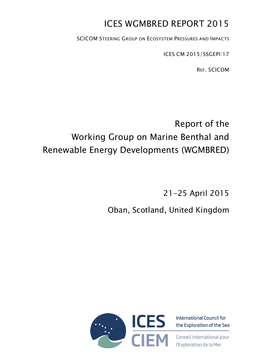# ICES WGMBRED REPORT 2015

SCICOM STEERING GROUP ON ECOSYSTEM PRESSURES AND IMPACTS

ICES CM 2015/SSGEPI:17

REF. SCICOM

# Report of the Working Group on Marine Benthal and Renewable Energy Developments (WGMBRED)

21-25 April 2015

# Oban, Scotland, United Kingdom



**International Council for** the Exploration of the Sea

Conseil International pour l'Exploration de la Mer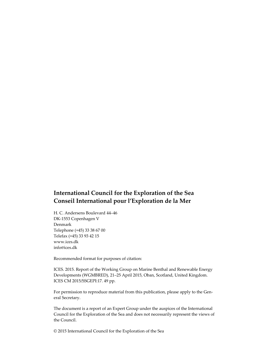## **International Council for the Exploration of the Sea Conseil International pour l'Exploration de la Mer**

H. C. Andersens Boulevard 44–46 DK-1553 Copenhagen V Denmark Telephone (+45) 33 38 67 00 Telefax (+45) 33 93 42 15 www.ices.dk info@ices.dk

Recommended format for purposes of citation:

ICES. 2015. Report of the Working Group on Marine Benthal and Renewable Energy Developments (WGMBRED), 21–25 April 2015, Oban, Scotland, United Kingdom. ICES CM 2015/SSGEPI:17. 49 pp.

For permission to reproduce material from this publication, please apply to the General Secretary.

The document is a report of an Expert Group under the auspices of the International Council for the Exploration of the Sea and does not necessarily represent the views of the Council.

© 2015 International Council for the Exploration of the Sea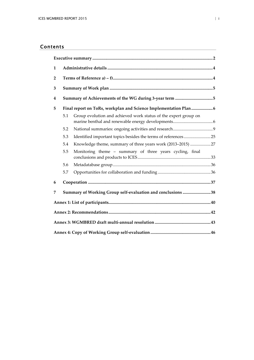## Contents

| 1              |                                                             |                                                                 |  |  |  |  |  |
|----------------|-------------------------------------------------------------|-----------------------------------------------------------------|--|--|--|--|--|
| $\overline{2}$ |                                                             |                                                                 |  |  |  |  |  |
| 3              |                                                             |                                                                 |  |  |  |  |  |
| 4              |                                                             |                                                                 |  |  |  |  |  |
| 5              |                                                             |                                                                 |  |  |  |  |  |
|                | 5.1                                                         | Group evolution and achieved work status of the expert group on |  |  |  |  |  |
|                | 5.2                                                         |                                                                 |  |  |  |  |  |
|                | 5.3                                                         | Identified important topics besides the terms of references25   |  |  |  |  |  |
|                | 5.4                                                         | Knowledge theme, summary of three years work (2013-2015) 27     |  |  |  |  |  |
|                | 5.5                                                         | Monitoring theme - summary of three years cycling, final        |  |  |  |  |  |
|                | 5.6                                                         |                                                                 |  |  |  |  |  |
|                | 5.7                                                         |                                                                 |  |  |  |  |  |
| 6              |                                                             |                                                                 |  |  |  |  |  |
| 7              | Summary of Working Group self-evaluation and conclusions 38 |                                                                 |  |  |  |  |  |
|                |                                                             |                                                                 |  |  |  |  |  |
|                |                                                             |                                                                 |  |  |  |  |  |
|                |                                                             |                                                                 |  |  |  |  |  |
|                |                                                             |                                                                 |  |  |  |  |  |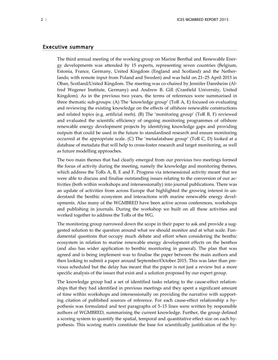#### Executive summary

<span id="page-3-0"></span>The third annual meeting of the working group on Marine Benthal and Renewable Energy developments was attended by 15 experts, representing seven countries (Belgium, Estonia, France, Germany, United Kingdom (England and Scotland) and the Netherlands; with remote input from Poland and Sweden) and was held on 21–25 April 2015 in Oban, Scotland/United Kingdom. The meeting was co-chaired by Jennifer Dannheim (Alfred Wegener Institute, Germany) and Andrew B. Gill (Cranfield University, United Kingdom). As in the previous two years, the terms of references were summarised in three thematic sub-groups: (A) The 'knowledge group' (ToR A, E) focused on evaluating and reviewing the existing knowledge on the effects of offshore renewable constructions and related topics (e.g. artificial reefs). (B) The 'monitoring group' (ToR B, F) reviewed and evaluated the scientific efficiency of ongoing monitoring programmes of offshore renewable energy development projects by identifying knowledge gaps and providing outputs that could be used in the future to standardised research and ensure monitoring occurred at the appropriate scale. (C) The 'metadatabase group' (ToR C, D) looked at a database of metadata that will help to cross-foster research and target monitoring, as well as future modelling approaches.

The two main themes that had clearly emerged from our previous two meetings formed the focus of activity during the meeting, namely the knowledge and monitoring themes, which address the ToRs A, B, E and F. Progress via intersessional activity meant that we were able to discuss and finalise outstanding issues relating to the conversion of our activities (both within workshops and intersessionally) into journal publications. There was an update of activities from across Europe that highlighted the growing interest in understand the benthic ecosystem and interactions with marine renewable energy developments. Also many of the WGMBRED have been active across conferences, workshops and publishing in journals. During the workshop we built on all these activities and worked together to address the ToRs of the WG.

The monitoring group narrowed down the scope in their paper to ask and provide a suggested solution to the question around what we should monitor and at what scale. Fundamental questions that occupy much debate and effort when considering the benthic ecosystem in relation to marine renewable energy development effects on the benthos (and also has wider application to benthic monitoring in general). The plan that was agreed and is being implement was to finalise the paper between the main authors and then looking to submit a paper around September/October 2015. This was later than previous scheduled but the delay has meant that the paper is not just a review but a more specific analysis of the issues that exist and a solution proposed by our expert group.

The knowledge group had a set of identified tasks relating to the cause-effect relationships that they had identified in previous meetings and they spent a significant amount of time within workshops and intersessionally on providing the narrative with supporting citation of published sources of reference. For each cause-effect relationship a hypothesis was formulated and text paragraphs of 5–15 lines were written by responsible authors of WGMBRED, summarising the current knowledge. Further, the group defined a scoring system to quantify the spatial, temporal and quantitative effect size on each hypothesis. This scoring matrix constitute the base for scientifically justification of the hy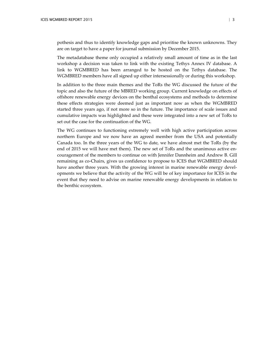pothesis and thus to identify knowledge gaps and prioritise the known unknowns. They are on target to have a paper for journal submission by December 2015.

The metadatabase theme only occupied a relatively small amount of time as in the last workshop a decision was taken to link with the existing Tethys Annex IV database. A link to WGMBRED has been arranged to be hosted on the Tethys database. The WGMBRED members have all signed up either intersessionally or during this workshop.

In addition to the three main themes and the ToRs the WG discussed the future of the topic and also the future of the MBRED working group. Current knowledge on effects of offshore renewable energy devices on the benthal ecosystems and methods to determine these effects strategies were deemed just as important now as when the WGMBRED started three years ago, if not more so in the future. The importance of scale issues and cumulative impacts was highlighted and these were integrated into a new set of ToRs to set out the case for the continuation of the WG.

The WG continues to functioning extremely well with high active participation across northern Europe and we now have an agreed member from the USA and potentially Canada too. In the three years of the WG to date, we have almost met the ToRs (by the end of 2015 we will have met them). The new set of ToRs and the unanimous active encouragement of the members to continue on with Jennifer Dannheim and Andrew B. Gill remaining as co-Chairs, gives us confidence to propose to ICES that WGMBRED should have another three years. With the growing interest in marine renewable energy developments we believe that the activity of the WG will be of key importance for ICES in the event that they need to advise on marine renewable energy developments in relation to the benthic ecosystem.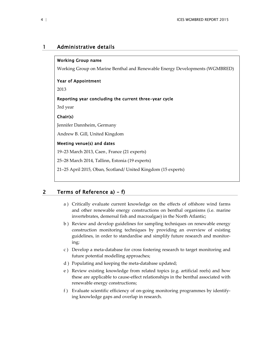## 1 Administrative details

#### <span id="page-5-0"></span>Working Group name

Working Group on Marine Benthal and Renewable Energy Developments (WGMBRED)

#### Year of Appointment

2013

#### Reporting year concluding the current three-year cycle

3rd year

#### Chair(s)

l,

Jennifer Dannheim, Germany

Andrew B. Gill, United Kingdom

#### Meeting venue(s) and dates

19–23 March 2013, Caen , France (21 experts)

25–28 March 2014, Tallinn, Estonia (19 experts)

21–25 April 2015, Oban, Scotland/ United Kingdom (15 experts)

## 2 Terms of Reference a) – f)

- <span id="page-5-1"></span>a ) Critically evaluate current knowledge on the effects of offshore wind farms and other renewable energy constructions on benthal organisms (i.e. marine invertebrates, demersal fish and macroalgae) in the North Atlantic;
- b ) Review and develop guidelines for sampling techniques on renewable energy construction monitoring techniques by providing an overview of existing guidelines, in order to standardise and simplify future research and monitoring;
- c ) Develop a meta-database for cross fostering research to target monitoring and future potential modelling approaches;
- d ) Populating and keeping the meta-database updated;
- e ) Review existing knowledge from related topics (e.g. artificial reefs) and how these are applicable to cause-effect relationships in the benthal associated with renewable energy constructions;
- f ) Evaluate scientific efficiency of on-going monitoring programmes by identifying knowledge gaps and overlap in research.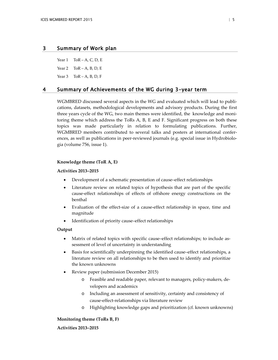## 3 Summary of Work plan

<span id="page-6-0"></span>Year  $1$  ToR – A, C, D, E Year  $2 \text{ ToR - A, B, D, E}$ Year  $3$  ToR – A, B, D, F

4 Summary of Achievements of the WG during 3-year term

<span id="page-6-1"></span>WGMBRED discussed several aspects in the WG and evaluated which will lead to publications, datasets, methodological developments and advisory products. During the first three years cycle of the WG, two main themes were identified, the knowledge and monitoring theme which address the ToRs A, B, E and F. Significant progress on both these topics was made particularly in relation to formulating publications. Further, WGMBRED members contributed to several talks and posters at international conferences, as well as publications in peer-reviewed journals (e.g. special issue in Hydrobiologia (volume 756, issue 1).

#### **Knowledge theme (ToR A, E)**

#### **Activities 2013–2015**

- Development of a schematic presentation of cause–effect relationships
- Literature review on related topics of hypothesis that are part of the specific cause-effect relationships of effects of offshore energy constructions on the benthal
- Evaluation of the effect-size of a cause-effect relationship in space, time and magnitude
- Identification of priority cause–effect relationships

#### **Output**

- Matrix of related topics with specific cause–effect relationships; to include assessment of level of uncertainty in understanding
- Basis for scientifically underpinning the identified cause–effect relationships, a literature review on all relationships to be then used to identify and prioritize the known unknowns
- Review paper (submission December 2015)
	- o Feasible and readable paper, relevant to managers, policy-makers, developers and academics
	- o Including an assessment of sensitivity, certainty and consistency of cause-effect-relationships via literature review
	- o Highlighting knowledge gaps and prioritization (cf. known unknowns)

#### **Monitoring theme (ToRs B, F)**

**Activities 2013–2015**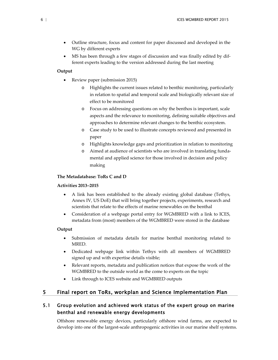- Outline structure, focus and content for paper discussed and developed in the WG by different experts
- MS has been through a few stages of discussion and was finally edited by different experts leading to the version addressed during the last meeting

#### **Output**

- Review paper (submission 2015)
	- o Highlights the current issues related to benthic monitoring, particularly in relation to spatial and temporal scale and biologically relevant size of effect to be monitored
	- o Focus on addressing questions on why the benthos is important, scale aspects and the relevance to monitoring, defining suitable objectives and approaches to determine relevant changes to the benthic ecosystem.
	- o Case study to be used to illustrate concepts reviewed and presented in paper
	- o Highlights knowledge gaps and prioritization in relation to monitoring
	- Aimed at audience of scientists who are involved in translating fundamental and applied science for those involved in decision and policy making

#### **The Metadatabase: ToRs C and D**

#### **Activities 2013–2015**

- A link has been established to the already existing global database (Tethys, Annex IV, US DoE) that will bring together projects, experiments, research and scientists that relate to the effects of marine renewables on the benthal
- Consideration of a webpage portal entry for WGMBRED with a link to ICES, metadata from (most) members of the WGMBRED were stored in the database

#### **Output**

- Submission of metadata details for marine benthal monitoring related to MRED.
- Dedicated webpage link within Tethys with all members of WGMBRED signed up and with expertise details visible;
- Relevant reports, metadata and publication notices that expose the work of the WGMBRED to the outside world as the come to experts on the topic
- Link through to ICES website and WGMBRED outputs

## 5 Final report on ToRs, workplan and Science Implementation Plan

## 5.1 Group evolution and achieved work status of the expert group on marine benthal and renewable energy developments

<span id="page-7-1"></span><span id="page-7-0"></span>Offshore renewable energy devices, particularly offshore wind farms, are expected to develop into one of the largest-scale anthropogenic activities in our marine shelf systems.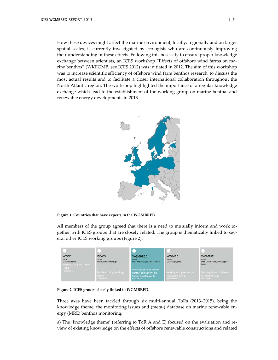How these devices might affect the marine environment, locally, regionally and on larger spatial scales, is currently investigated by ecologists who are continuously improving their understanding of these effects. Following this necessity to ensure proper knowledge exchange between scientists, an ICES workshop "Effects of offshore wind farms on marine benthos" (WKEOMB, see ICES 2012) was initiated in 2012. The aim of this workshop was to increase scientific efficiency of offshore wind farm benthos research, to discuss the most actual results and to facilitate a closer international collaboration throughout the North Atlantic region. The workshop highlighted the importance of a regular knowledge exchange which lead to the establishment of the working group on marine benthal and renewable energy developments in 2013.



**Figure 1. Countries that have experts in the WGMBRED.**

All members of the group agreed that there is a need to mutually inform and work together with ICES groups that are closely related. The group is thematically linked to several other ICES working groups (Figure 2).

| WGSE<br>SSGEF<br>Chair: Richard Veit<br><b>Working Group on Seabird</b> | <b>BEWG</b><br><b>SSGEPD</b><br>Chair: Silvana Birchenough | <b>WGMBRED</b><br><b>SSGEPF</b><br>Chair: Andrew Gill, Jennifer Dannheim                                    | <b>WGMRE</b><br>SSGEPI<br>Chair: Finlay Bennet                           | <b>WGMME</b><br><b>ACOM</b><br>Chair: Graham Pierce, Maria Begoña<br>Santos |
|-------------------------------------------------------------------------|------------------------------------------------------------|-------------------------------------------------------------------------------------------------------------|--------------------------------------------------------------------------|-----------------------------------------------------------------------------|
| Ecology<br>> Read more                                                  | <b>Benthos Ecology Working</b><br>Group<br>> Read more:    | <b>Working Group on Marine</b><br><b>Benthal and Renewable</b><br><b>Energy Developments</b><br>> Read more | <b>Working Group on Marine</b><br><b>Renewable Energy</b><br>> Head more | <b>Working Group on Marine</b><br>Mammal Ecology<br>> Read more             |

**Figure 2. ICES groups closely linked to WGMBRED.**

Three axes have been tackled through six multi-annual ToRs (2013–2015), being the knowledge theme, the monitoring issues and (meta-) database on marine renewable energy (MRE) benthos monitoring:

a) The 'knowledge theme' (referring to ToR A and E) focused on the evaluation and review of existing knowledge on the effects of offshore renewable constructions and related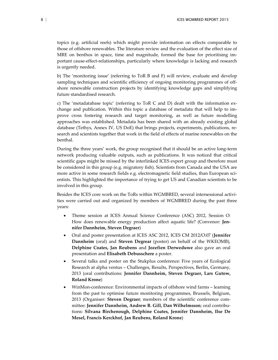topics (e.g. artificial reefs) which might provide information on effects comparable to those of offshore renewables. The literature review and the evaluation of the effect size of MRE on benthos in space, time and magnitude, formed the base for prioritising important cause-effect-relationships, particularly where knowledge is lacking and research is urgently needed.

b) The 'monitoring issue' (referring to ToR B and F) will review, evaluate and develop sampling techniques and scientific efficiency of ongoing monitoring programmes of offshore renewable construction projects by identifying knowledge gaps and simplifying future standardised research.

c) The 'metadatabase topic' (referring to ToR C and D) dealt with the information exchange and publication. Within this topic a database of metadata that will help to improve cross fostering research and target monitoring, as well as future modelling approaches was established. Metadata has been shared with an already existing global database (Tethys, Annex IV, US DoE) that brings projects, experiments, publications, research and scientists together that work in the field of effects of marine renewables on the benthal.

During the three years' work, the group recognised that it should be an active long-term network producing valuable outputs, such as publications. It was noticed that critical scientific gaps might be missed by the interlinked ICES expert group and therefore must be considered in this group (e.g. migratory fish). Scientists from Canada and the USA are more active in some research fields e.g. electromagnetic field studies, than European scientists. This highlighted the importance of trying to get US and Canadian scientists to be involved in this group.

Besides the ICES core work on the ToRs within WGMBRED, several intersessional activities were carried out and organized by members of WGMBRED during the past three years:

- Theme session at ICES Annual Science Conference (ASC) 2012, Session O: How does renewable energy production affect aquatic life? (Convenor: **Jennifer Dannheim, Steven Degraer**)
- Oral and poster presentation at ICES ASC 2012, ICES CM 2012/O:07 (**Jennifer Dannheim** (oral) and **Steven Degrear** (poster) on behalf of the WKEOMB), **Delphine Coates, Jan Reubens** and **Jozefien Derweduwe** also gave an oral presentation and **Elisabeth Debusschere** a poster.
- Several talks and poster on the Stukplus conference: Five years of Ecological Research at alpha ventus – Challenges, Results, Perspectives, Berlin, Germany, 2013 (oral contributions: **Jennifer Dannheim, Steven Degraer, Lars Gutow, Roland Krone**)
- WinMon-conference: Environmental impacts of offshore wind farms learning from the past to optimise future monitoring programmes, Brussels, Belgium, 2013 (Organiser: **Steven Degraer**; members of the scientific conference committee: **Jennifer Dannheim, Andrew B. Gill, Dan Wilhelmsson**; oral contributions: **Silvana Birchenough, Delphine Coates, Jennifer Dannheim, Ilse De Mesel, Francis Kerckhof, Jan Reubens, Roland Krone**)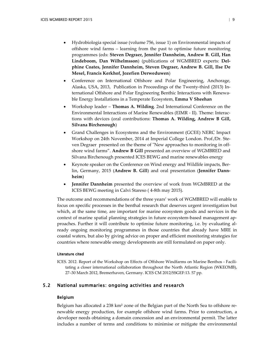- Hydrobiologia special issue (volume 756, issue 1) on Environmental impacts of offshore wind farms – learning from the past to optimise future monitoring programmes (eds: **Steven Degraer, Jennifer Dannheim, Andrew B. Gill, Han Lindeboom, Dan Wilhelmsson**) (publications of WGMBRED experts: **Delphine Coates, Jennifer Dannheim, Steven Degraer, Andrew B. Gill, Ilse De Mesel, Francis Kerkhof, Jozefien Derweduwen**)
- Conference on International Offshore and Polar Engineering, Anchorage, Alaska, USA, 2013, Publication in Proceedings of the Twenty-third (2013) International Offshore and Polar Engineering Benthic Interactions with Renewable Energy Installations in a Temperate Ecosystem, **Emma V Sheehan**
- Workshop leader **Thomas A. Wilding**. 2nd International Conference on the Environmental Interactions of Marine Renewables (EIMR - II). Theme: Interactions with devices (oral contributions: **Thomas A. Wilding, Andrew B Gill, Silvana Birchenough**)
- Grand Challenges in Ecosystems and the Environment (GCEE) NERC Impact Workshop on 24th November, 2014 at Imperial College London. Prof./Dr. Steven Degraer presented on the theme of "New approaches to monitoring in offshore wind farms". **Andrew B Gill** presented an overview of WGMBRED and Silvana Birchenough presented ICES BEWG and marine renewables energy
- Keynote speaker on the Conference on Wind energy and Wildlife impacts, Berlin, Germany, 2015 (**Andrew B. Gill**) and oral presentation (**Jennifer Dannheim**)
- **Jennifer Dannheim** presented the overview of work from WGMBRED at the ICES BEWG meeting in Calvi Stareso ( 4-8th may 2015).

The outcome and recommendations of the three years' work of WGMBRED will enable to focus on specific processes in the benthal research that deserves urgent investigation but which, at the same time, are important for marine ecosystem goods and services in the context of marine spatial planning strategies in future ecosystem-based management approaches. Further it will contribute to optimise future monitoring, i.e. by evaluating already ongoing monitoring programmes in those countries that already have MRE in coastal waters, but also by giving advice on proper and efficient monitoring strategies for countries where renewable energy developments are still formulated on paper only.

#### Literature cited

ICES. 2012. Report of the Workshop on Effects of Offshore Windfarms on Marine Benthos - Facilitating a closer international collaboration throughout the North Atlantic Region (WKEOMB), 27–30 March 2012, Bremerhaven, Germany. ICES CM 2012/SSGEF:13. 57 pp.

## 5.2 National summaries: ongoing activities and research

#### <span id="page-10-0"></span>Belgium

Belgium has allocated a 238 km² zone of the Belgian part of the North Sea to offshore renewable energy production, for example offshore wind farms. Prior to construction, a developer needs obtaining a domain concession and an environmental permit. The latter includes a number of terms and conditions to minimise or mitigate the environmental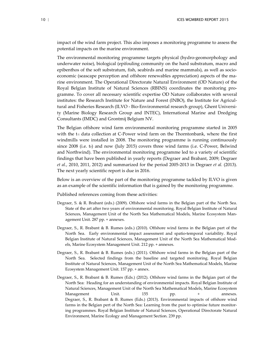impact of the wind farm project. This also imposes a monitoring programme to assess the potential impacts on the marine environment.

The environmental monitoring programme targets physical (hydro-geomorphology and underwater noise), biological (epifouling community on the hard substratum, macro and epibenthos of the soft substratum, fish, seabirds and marine mammals), as well as socioeconomic (seascape perception and offshore renewables appreciation) aspects of the marine environment. The Operational Directorate Natural Environment (OD Nature) of the Royal Belgian Institute of Natural Sciences (RBINS) coordinates the monitoring programme. To cover all necessary scientific expertise OD Nature collaborates with several institutes: the Research Institute for Nature and Forest (INBO), the Institute for Agricultural and Fisheries Research (ILVO - Bio-Environmental research group), Ghent University (Marine Biology Research Group and INTEC), International Marine and Dredging Consultants (IMDC) and Grontmij Belgium NV.

The Belgian offshore wind farm environmental monitoring programme started in 2005 with the t<sub>1</sub> data collection at C-Power wind farm on the Thorntonbank, where the first windmills were installed in 2008. The monitoring programme is running continuously since 2008 (i.e. to) and now (July 2015) covers three wind farms (i.e. C-Power, Belwind and Northwind). The environmental monitoring programme led to a variety of scientific findings that have been published in yearly reports (Degraer and Brabant, 2009; Degraer *et al.*, 2010, 2011, 2012) and summarized for the period 2005-2013 in Degraer *et al.* (2013). The next yearly scientific report is due in 2016.

Below is an overview of the part of the monitoring programme tackled by ILVO is given as an example of the scientific information that is gained by the monitoring programme.

Published references coming from these activities:

- Degraer, S. & R. Brabant (eds.) (2009). Offshore wind farms in the Belgian part of the North Sea. State of the art after two years of environmental monitoring. Royal Belgian Institute of Natural Sciences, Management Unit of the North Sea Mathematical Models, Marine Ecosystem Management Unit. 287 pp. + annexes.
- Degraer, S., R. Brabant & B. Rumes (eds.) (2010). Offshore wind farms in the Belgian part of the North Sea. Early environmental impact assessment and spatio-temporal variability. Royal Belgian Institute of Natural Sciences, Management Unit of the North Sea Mathematical Models, Marine Ecosystem Management Unit. 212 pp. + annexes.
- Degraer, S., R. Brabant & B. Rumes (eds.) (2011). Offshore wind farms in the Belgian part of the North Sea. Selected findings from the baseline and targeted monitoring. Royal Belgian Institute of Natural Sciences, Management Unit of the North Sea Mathematical Models, Marine Ecosystem Management Unit. 157 pp. + annex.
- Degraer, S., R. Brabant & B. Rumes (Eds.) (2012). Offshore wind farms in the Belgian part of the North Sea: Heading for an understanding of environmental impacts. Royal Belgian Institute of Natural Sciences, Management Unit of the North Sea Mathematical Models, Marine Ecosystem Management Unit. 155 pp. + annexes. Degraer, S., R. Brabant & B. Rumes (Eds.) (2013). Environmental impacts of offshore wind farms in the Belgian pert of the North Sea: Learning from the past to optimise future monitoring programmes. Royal Belgian Institute of Natural Sciences, Operational Directorate Natural Environment, Marine Ecology and Management Section. 239 pp.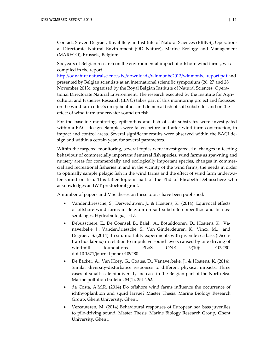Contact: Steven Degraer, Royal Belgian Institute of Natural Sciences (RBINS), Operational Directorate Natural Environment (OD Nature), Marine Ecology and Management (MARECO), Brussels, Belgium

Six years of Belgian research on the environmental impact of offshore wind farms, was compiled in the report

[http://odnature.naturalsciences.be/downloads/winmonbe2013/winmonbe\\_report.pdf](http://odnature.naturalsciences.be/downloads/winmonbe2013/winmonbe_report.pdf) and presented by Belgian scientists at an international scientific symposium (26, 27 and 28 November 2013), organised by the Royal Belgian Institute of Natural Sciences, Operational Directorate Natural Environment. The research executed by the Institute for Agricultural and Fisheries Research (ILVO) takes part of this monitoring project and focusses on the wind farm effects on epibenthos and demersal fish of soft substrates and on the effect of wind farm underwater sound on fish.

For the baseline monitoring, epibenthos and fish of soft substrates were investigated within a BACI design. Samples were taken before and after wind farm construction, in impact and control areas. Several significant results were observed within the BACI design and within a certain year, for several parameters.

Within the targeted monitoring, several topics were investigated, i.e. changes in feeding behaviour of commercially important demersal fish species, wind farms as spawning and nursery areas for commercially and ecologically important species, changes in commercial and recreational fisheries in and in the vicinity of the wind farms, the needs in order to optimally sample pelagic fish in the wind farms and the effect of wind farm underwater sound on fish. This latter topic is part of the Phd of Elisabeth Debusschere who acknowledges an IWT predoctoral grant.

A number of papers and MSc theses on these topics have been published:

- Vandendriessche, S., Derweduwen, J., & Hostens, K. (2014). Equivocal effects of offshore wind farms in Belgium on soft substrate epibenthos and fish assemblages. Hydrobiologia, 1-17.
- Debusschere, E., De Coensel, B., Bajek, A., Botteldooren, D., Hostens, K., Vanaverbeke, J., Vandendriessche, S., Van Ginderdeuren, K., Vincx, M., and Degraer, S. (2014). In situ mortality experiments with juvenile sea bass (Dicentrarchus labrax) in relation to impulsive sound levels caused by pile driving of windmill foundations. PLoS ONE 9(10): e109280. doi:10.1371/journal.pone.0109280.
- De Backer, A., Van Hoey, G., Coates, D., Vanaverbeke, J., & Hostens, K. (2014). Similar diversity-disturbance responses to different physical impacts: Three cases of small-scale biodiversity increase in the Belgian part of the North Sea. Marine pollution bulletin, 84(1), 251-262.
- da Costa, A.M.R. (2014) Do offshore wind farms influence the occurrence of ichthyoplankton and squid larvae? Master Thesis. Marine Biology Research Group, Ghent University, Ghent.
- Vercauteren, M. (2014) Behavioural responses of European sea bass juveniles to pile-driving sound. Master Thesis. Marine Biology Research Group, Ghent University, Ghent.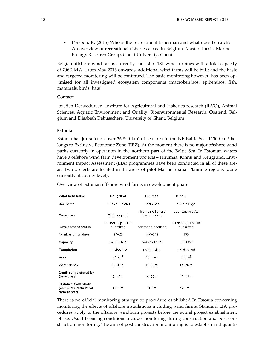• Persoon, K. (2015) Who is the recreational fisherman and what does he catch? An overview of recreational fisheries at sea in Belgium. Master Thesis. Marine Biology Research Group, Ghent University, Ghent.

Belgian offshore wind farms currently consist of 181 wind turbines with a total capacity of 706.2 MW. From May 2016 onwards, additional wind farms will be built and the basic and targeted monitoring will be continued. The basic monitoring however, has been optimised for all investigated ecosystem components (macrobenthos, epibenthos, fish, mammals, birds, bats).

Contact:

Jozefien Derweduwen, Institute for Agricultural and Fisheries research (ILVO), Animal Sciences, Aquatic Environment and Quality, Bioenvironmental Research, Oostend, Belgium and Elisabeth Debusschere, University of Ghent, Belgium

#### Estonia

Estonia has jurisdiction over 36 500 km<sup>2</sup> of sea area in the NE Baltic Sea. 11300 km<sup>2</sup> belongs to Exclusive Economic Zone (EEZ). At the moment there is no major offshore wind parks currently in operation in the northern part of the Baltic Sea. In Estonian waters have 3 offshore wind farm development projects – Hiiumaa, Kihnu and Neugrund. Environment Impact Assessment (EIA) programmes have been conducted in all of these areas. Two projects are located in the areas of pilot Marine Spatial Planning regions (done currently at county level).

Overview of Estonian offshore wind farms in development phase:

| Wind farm name                                             | Neugrund                                        | Hiiumaa               | Kihnu                            |  |
|------------------------------------------------------------|-------------------------------------------------|-----------------------|----------------------------------|--|
| Sea name                                                   | Gulf of Finland                                 | Baltic Sea            | Gulf of Riga                     |  |
| Developer                                                  | Hiiumaa Offshore<br>OÜ Neugrund<br>Tuulepark OÜ |                       | Eesti Energia AS                 |  |
| <b>Development status</b>                                  | consent application<br>submitted                | consent authorised    | consent application<br>submitted |  |
| Number of turbines                                         | $27 - 29$                                       | $146 - 212$           | 160                              |  |
| Capacity                                                   | ca. 180 MW                                      | 594-730 MW            | 600 MW                           |  |
| Foundation                                                 | not decided                                     | not decided           | not decided                      |  |
| Area                                                       | $13 \text{ km}^2$                               | $155$ km <sup>2</sup> | $100$ km                         |  |
| Water depth                                                | $3 - 20$ m                                      | $8 - 38$ m            | $17 - 24$ m                      |  |
| Depth range stated by<br>Developer                         | $5 - 15$ m                                      | $10 - 30$ m           | $17 - 18$ m                      |  |
| Distance from shore<br>(computed from wind<br>farm center) | 9,5 km                                          | 15 km                 | 12 km                            |  |

There is no official monitoring strategy or procedure established In Estonia concerning monitoring the effects of offshore installations including wind farms. Standard EIA procedures apply to the offshore windfarm projects before the actual project establishment phase. Usual licensing conditions include monitoring during construction and post construction monitoring. The aim of post construction monitoring is to establish and quanti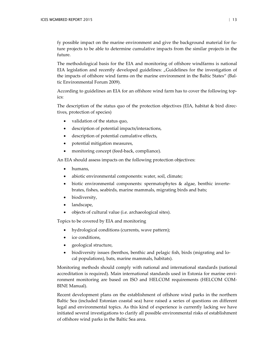fy possible impact on the marine environment and give the background material for future projects to be able to determine cumulative impacts from the similar projects in the future.

The methodological basis for the EIA and monitoring of offshore windfarms is national EIA legislation and recently developed guidelines: "Guidelines for the investigation of the impacts of offshore wind farms on the marine environment in the Baltic States" (Baltic Environmental Forum 2009).

According to guidelines an EIA for an offshore wind farm has to cover the following topics:

The description of the status quo of the protection objectives (EIA, habitat & bird directives, protection of species)

- validation of the status quo,
- description of potential impacts/interactions,
- description of potential cumulative effects,
- potential mitigation measures,
- monitoring concept (feed-back, compliance).

An EIA should assess impacts on the following protection objectives:

- humans,
- abiotic environmental components: water, soil, climate;
- biotic environmental components: spermatophytes & algae, benthic invertebrates, fishes, seabirds, marine mammals, migrating birds and bats;
- biodiversity,
- landscape,
- objects of cultural value (i.e. archaeological sites).

Topics to be covered by EIA and monitoring

- hydrological conditions (currents, wave pattern);
- ice conditions,
- geological structure,
- biodiversity issues (benthos, benthic and pelagic fish, birds (migrating and local populations), bats, marine mammals, habitats).

Monitoring methods should comply with national and international standards (national accreditation is required). Main international standards used in Estonia for marine environment monitoring are based on ISO and HELCOM requirements (HELCOM COM-BINE Manual).

Recent development plans on the establishment of offshore wind parks in the northern Baltic Sea (included Estonian coastal sea) have raised a series of questions on different legal and environmental topics. As this kind of experience is currently lacking we have initiated several investigations to clarify all possible environmental risks of establishment of offshore wind parks in the Baltic Sea area.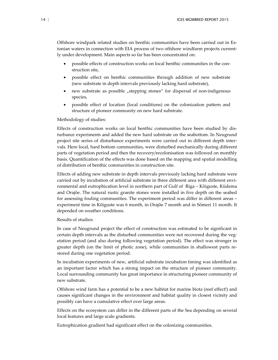Offshore windpark related studies on benthic communities have been carried out in Estonian waters in connection with EIA process of two offshore windfarm projects currently under development. Main aspects so far has been concentrated on:

- possible effects of construction works on local benthic communities in the construction site,
- possible effect on benthic communities through addition of new substrate (new substrate in depth intervals previously lacking hard substrate),
- new substrate as possible "stepping stones" for dispersal of non-indigenous species,
- possible effect of location (local conditions) on the colonization pattern and structure of pioneer community on new hard substrate.

#### Methodology of studies:

Effects of construction works on local benthic communities have been studied by disturbance experiments and added the new hard substrate on the seabottom. In Neugrund project site series of disturbance experiments were carried out in different depth intervals. Here local, hard bottom communities, were disturbed mechanically during different parts of vegetation period and then the recovery/recolonisation was followed on monthly basis. Quantification of the effects was done based on the mapping and spatial modelling of distribution of benthic communities in construction site.

Effects of adding new substrate in depth intervals previously lacking hard substrate were carried out by incubation of artificial substrate in three different area with different environmental and eutrophication level in northern part of Gulf of Riga – Kõiguste, Küdema and Orajõe. The natural rustic granite stones were installed in five depth on the seabed for assessing fouling communities. The experiment period was differ in different areas – experiment time in Kõiguste was 6 month, in Orajõe 7 month and in Sõmeri 11 month. It depended on weather conditions.

#### Results of studies:

In case of Neugrund project the effect of construction was estimated to be significant in certain depth intervals as the disturbed communities were not recovered during the vegetation period (and also during following vegetation period). The effect was stronger in greater depth (on the limit of photic zone), while communities in shallowest parts restored during one vegetation period.

In incubation experiments of new, artificial substrate incubation timing was identified as an important factor which has a strong impact on the structure of pioneer community. Local surrounding community has great importance in structuring pioneer community of new substrate.

Offshore wind farm has a potential to be a new habitat for marine biota (reef effect!) and causes significant changes in the environment and habitat quality in closest vicinity and possibly can have a cumulative effect over large areas.

Effects on the ecosystem can differ in the different parts of the Sea depending on several local features and large scale gradients.

Eutrophication gradient had significant effect on the colonizing communities.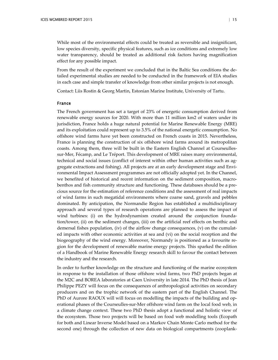While most of the environmental effects could be treated as reversible and insignificant, low species diversity, specific physical features, such as ice conditions and extremely low water transparency, should be treated as additional risk factors having magnification effect for any possible impact.

From the result of the experiment we concluded that in the Baltic Sea conditions the detailed experimental studies are needed to be conducted in the framework of EIA studies in each case and simple transfer of knowledge from other similar projects is not enough.

Contact: Liis Rostin & Georg Martin, Estonian Marine Institute, University of Tartu.

#### France

The French government has set a target of 23% of energetic consumption derived from renewable energy sources for 2020. With more than 11 million km2 of waters under its jurisdiction, France holds a huge natural potential for Marine Renewable Energy (MRE) and its exploitation could represent up to 3.5% of the national energetic consumption. No offshore wind farms have yet been constructed on French coasts in 2015. Nevertheless, France is planning the construction of six offshore wind farms around its metropolitan coasts. Among them, three will be built in the Eastern English Channel at Courseullessur-Mer, Fécamp, and Le Tréport. This development of MRE raises many environmental, technical and social issues (conflict of interest within other human activities such as aggregate extractions and fishing). All projects are at an early development stage and Environmental Impact Assessment programmes are not officially adopted yet. In the Channel, we benefited of historical and recent information on the sediment composition, macrobenthos and fish community structure and functioning. These databases should be a precious source for the estimation of reference conditions and the assessment of real impacts of wind farms in such megatidal environments where coarse sand, gravels and pebbles dominated. By anticipation, the Normandie Region has established a multidisciplinary approach and several types of research operations are planned to assess the impact of wind turbines: (i) on the hydrodynamism created around the conjunction foundation/tower, (ii) on the sediment changes, (iii) on the artificial reef effects on benthic and demersal fishes population, (iv) of the airflow change consequences,  $(v)$  on the cumulated impacts with other economic activities at sea and (vi) on the social reception and the biogeography of the wind energy. Moreover, Normandy is positioned as a favourite region for the development of renewable marine energy projects. This sparked the edition of a Handbook of Marine Renewable Energy research skill to favour the contact between the industry and the research.

In order to further knowledge on the structure and functioning of the marine ecosystem in response to the installation of those offshore wind farms, two PhD projects began at the M2C and BOREA laboratories at Caen University in late 2014. The PhD thesis of Jean Philippe PEZY will focus on the consequences of anthropological activities on secondary producers and on the trophic network of the eastern part of the English Channel. The PhD of Aurore RAOUX will will focus on modelling the impacts of the building and operational phases of the Courseulles-sur-Mer offshore wind farm on the local food web, in a climate change context. These two PhD thesis adopt a functional and holistic view of the ecosystem. Those two projects will be based on food web modelling tools (Ecopath for both and Linear Inverse Model based on a Markov Chain Monte Carlo method for the second one) through the collection of new data on biological compartments (zooplank-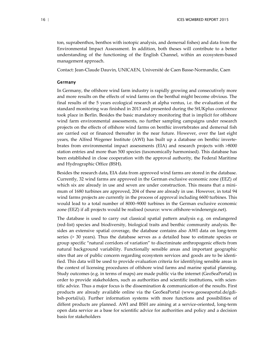ton, suprabenthos, benthos with isotopic analysis, and demersal fishes) and data from the Environmental Impact Assessment. In addition, both theses will contribute to a better understanding of the functioning of the English Channel, within an ecosystem-based management approach.

Contact: Jean-Claude Dauvin, UNICAEN, Université de Caen Basse-Normandie, Caen

#### **Germany**

In Germany, the offshore wind farm industry is rapidly growing and consecutively more and more results on the effects of wind farms on the benthal might become obvious. The final results of the 5 years ecological research at alpha ventus, i.e. the evaluation of the standard monitoring was finished in 2013 and presented during the StUKplus conference took place in Berlin. Besides the basic mandatory monitoring that is implicit for offshore wind farm environmental assessments, no further sampling campaigns under research projects on the effects of offshore wind farms on benthic invertebrates and demersal fish are carried out or financed thereafter in the near future. However, over the last eight years, the Alfred Wegener Institute (AWI) has built up a database on benthic invertebrates from environmental impact assessments (EIA) and research projects with >8000 station entries and more than 500 species (taxonomically harmonised). This database has been established in close cooperation with the approval authority, the Federal Maritime and Hydrographic Office (BSH).

Besides the research data, EIA data from approved wind farms are stored in the database. Currently, 32 wind farms are approved in the German exclusive economic zone (EEZ) of which six are already in use and seven are under construction. This means that a minimum of 1680 turbines are approved, 204 of these are already in use. However, in total 94 wind farms projects are currently in the process of approval including 6600 turbines. This would lead to a total number of 8000–9000 turbines in the German exclusive economic zone (EEZ) if all projects would be realised (source: www.offshore-windenergie.net).

The database is used to carry out classical spatial pattern analysis e.g. on endangered (red-list) species and biodiversity, biological traits and benthic community analysis. Besides an extensive spatial coverage, the database contains also AWI data on long-term series (> 30 years). Thus the database serves as a detailed base to estimate species or group specific "natural corridors of variation" to discriminate anthropogenic effects from natural background variability. Functionally sensible areas and important geographic sites that are of public concern regarding ecosystem services and goods are to be identified. This data will be used to provide evaluation criteria for identifying sensible areas in the context of licensing procedures of offshore wind farms and marine spatial planning. Study outcomes (e.g. in terms of maps) are made public via the internet (GeoSeaPortal) in order to provide stakeholders, such as authorities and scientific institutions, with scientific advice. Thus a major focus is the dissemination & communication of the results. First products are already available online via the GeoSeaPortal (www.geoseaportal.de/gdibsh-portal/ui). Further information systems with more functions and possibilities of diffent products are planned. AWI and BSH are aiming at a service-oriented, long-term open data service as a base for scientific advice for authorities and policy and a decision basis for stakeholders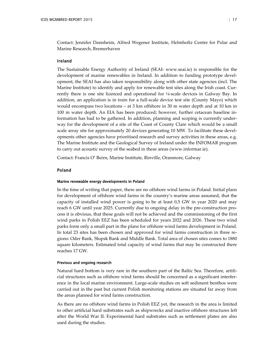Contact: Jennifer Dannheim, Alfred Wegener Institute, Helmholtz Centre for Polar and Marine Research, Bremerhaven

#### Ireland

The Sustainable Energy Authority of Ireland (SEAI- www.seai.ie) is responsible for the development of marine renewables in Ireland. In addition to funding prototype development, the SEAI has also taken responsibility along with other state agencies (incl. The Marine Institute) to identify and apply for renewable test sites along the Irish coast. Currently there is one site licenced and operational for  $\frac{1}{4}$ -scale devices in Galway Bay. In addition, an application is in train for a full-scale device test site (County Mayo) which would encompass two locations – at 3 km offshore in 30 m water depth and at 10 km in 100 m water depth. An EIA has been produced; however, further cetacean baseline information has had to be gathered. In addition, planning and scoping is currently underway for the development of a site of the Coast of County Clare which would be a small scale array site for approximately 20 devices generating 10 MW. To facilitate these developments other agencies have prioritised research and survey activities in these areas, e.g. The Marine Institute and the Geological Survey of Ireland under the INFOMAR program to carry out acoustic survey of the seabed in these areas (www.informar.ie).

Contact: Francis O' Beirn, Marine Institute, Rinville, Oranmore, Galway

#### Poland

#### Marine renewable energy developments in Poland

In the time of writing that paper, there are no offshore wind farms in Poland. Initial plans for development of offshore wind farms in the country's marine areas assumed, that the capacity of installed wind power is going to be at least 0,5 GW in year 2020 and may reach 6 GW until year 2025. Currently due to ongoing delay in the pre-construction process it is obvious, that these goals will not be achieved and the commissioning of the first wind parks in Polish EEZ has been scheduled for years 2022 and 2026. These two wind parks form only a small part in the plans for offshore wind farms development in Poland. In total 23 sites has been chosen and approved for wind farms construction in three regions: Oder Bank, Słupsk Bank and Middle Bank. Total area of chosen sites comes to 1880 square kilometers. Estimated total capacity of wind farms that may be constructed there reaches 17 GW.

#### Previous and ongoing research

Natural hard bottom is very rare in the southern part of the Baltic Sea. Therefore, artificial structures such as offshore wind farms should be concerned as a significant interference in the local marine environment. Large-scale studies on soft sediment benthos were carried out in the past but current Polish monitoring stations are situated far away from the areas planned for wind farms construction.

As there are no offshore wind farms in Polish EEZ yet, the research in the area is limited to other artificial hard substrates such as shipwrecks and inactive offshore structures left after the World War II. Experimental hard substrates such as settlement plates are also used during the studies.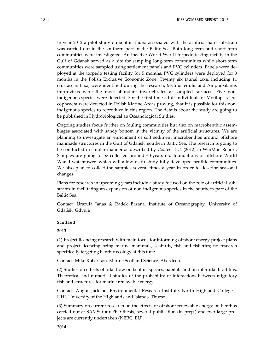In year 2012 a pilot study on benthic fauna associated with the artificial hard substrata was carried out in the southern part of the Baltic Sea. Both long-term and short term communities were investigated. An inactive World War II torpedo testing facility in the Gulf of Gdansk served as a site for sampling long-term communities while short-term communities were sampled using settlement panels and PVC cylinders. Panels were deployed at the torpedo testing facility for 5 months. PVC cylinders were deployed for 3 months in the Polish Exclusive Economic Zone. Twenty six faunal taxa, including 11 crustacean taxa, were identified during the research. Mytilus edulis and Amphibalanus improvisus were the most abundant invertebrates at sampled surfaces. Five nonindigenous species were detected. For the first time adult individuals of Mytilopsis leucopheaeta were detected in Polish Marine Areas proving, that it is possible for this nonindigenous species to reproduce in this region. The details about the study are going to be published in Hydrobiological an Oceanological Studies.

Ongoing studies focus further on fouling communities but also on macrobenthic assemblages associated with sandy bottom in the vicinity of the artificial structures. We are planning to investigate an enrichment of soft sediment macrobenthos around offshore manmade structures in the Gulf of Gdańsk, southern Baltic Sea. The research is going to be conducted in similar manner as described by Coates *et al.* (2012) in WinMon Report. Samples are going to be collected around 60-years old foundations of offshore World War II watchtower, which will allow us to study fully-developed benthic communities. We also plan to collect the samples several times a year in order to describe seasonal changes.

Plans for research in upcoming years include a study focused on the role of artificial substrates in facilitating an expansion of non-indigenous species in the southern part of the Baltic Sea.

Contact: Urszula Janas & Radek Brzana, Institute of Oceanography, University of Gdańsk, Gdynia

#### Scotland

#### **2013**

(1) Project licencing research with main focus for informing offshore energy project plans and project licencing being marine mammals, seabirds, fish and fisheries; no research specifically targeting benthic ecology at this time.

Contact: Mike Robertson, Marine Scotland Science, Aberdeen.

(2) Studies on effects of tidal flow on benthic species, habitats and on intertidal bio-films. Theoretical and numerical studies of the probability of interactions between migratory fish and structures for marine renewable energy.

Contact: Angus Jackson, Environmental Research Institute, North Highland College – UHI, University of the Highlands and Islands, Thurso.

(3) Summary on current research on the effects of offshore renewable energy on benthos carried out at SAMS: four PhD thesis, several publication (in prep.) and two large projects are currently undertaken (NERC, EU).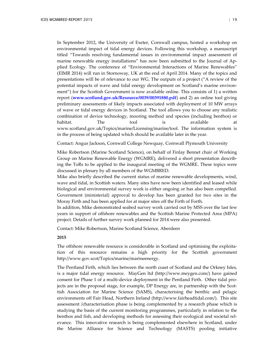In September 2012, the University of Exeter, Cornwall campus, hosted a workshop on environmental impact of tidal energy devices. Following this workshop, a manuscript titled "Towards resolving fundamental issues in environmental impact assessment of marine renewable energy installations" has now been submitted to the Journal of Applied Ecology. The conference of "Environmental Interactions of Marine Renewables" (EIMR 2014) will run in Stornoway, UK at the end of April 2014. Many of the topics and presentations will be of relevance to our WG. The outputs of a project ("A review of the potential impacts of wave and tidal energy development on Scotland's marine environment") for the Scottish Government is now available online. This consists of 1) a written report (**www.scotland.gov.uk/Resource/0039/00391880.pdf**) and 2) an online tool giving preliminary assessments of likely impacts associated with deployment of 10 MW arrays of wave or tidal energy devices in Scotland. The tool allows you to choose any realistic combination of device technology, mooring method and species (including benthos) or habitat. The tool is available at www.scotland.gov.uk/Topics/marine/Licensing/marine/tool. The information system is in the process of being updated which should be available later in the year.

Contact: Angus Jackson, Cornwall College Newquay, Cornwall Plymouth University

Mike Robertson (Marine Scotland Science), on behalf of Finlay Bennet chair of Working Group on Marine Renewable Energy (WGMRE), delivered a short presentation describing the ToRs to be applied to the inaugural meeting of the WGMRE. These topics were discussed in plenary by all members of the WGMBRED.

Mike also briefly described the current status of marine renewable developments, wind, wave and tidal, in Scottish waters. Many sites have now been identified and leased while biological and environmental survey work is either ongoing or has also been compelled. Government (ministerial) approval to develop has been granted for two sites in the Moray Firth and has been applied for at major sites off the Firth of Forth.

In addition, Mike demonstrated seabed survey work carried out by MSS over the last few years in support of offshore renewables and the Scottish Marine Protected Area (MPA) project. Details of further survey work planned for 2014 were also presented.

Contact: Mike Robertson, Marine Scotland Science, Aberdeen

#### **2015**

The offshore renewable resource is considerable in Scotland and optimising the exploitation of this resource remains a high priority for the Scottish government http://www.gov.scot/Topics/marine/marineenergy.

The Pentland Firth, which lies between the north coast of Scotland and the Orkney Isles, is a major tidal energy resource. MayGen ltd (http://www.meygen.com/) have gained consent for Phase 1 of a multi-device deployment in the Pentland Firth. Other tidal projects are in the proposal stage, for example, DP Energy are, in partnership with the Scottish Association for Marine Science (SAMS), characterising the benthic and pelagic environments off Fair Head, Northern Ireland (http://www.fairheadtidal.com/). This site assessment /characterisation phase is being complemented by a research phase which is studying the basis of the current monitoring programmes, particularly in relation to the benthos and fish, and developing methods for assessing their ecological and societal relevance. This innovative research is being complemented elsewhere in Scotland, under the Marine Alliance for Science and Technology (MASTS) pooling initiative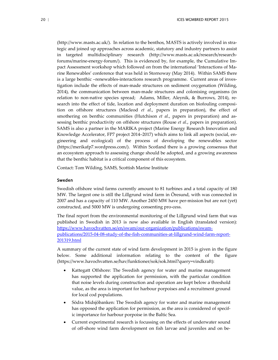(http://www.masts.ac.uk/). In relation to the benthos, MASTS is actively involved in strategic and joined up approaches across academic, statutory and industry partners to assist in targeted multidisciplinary research (http://www.masts.ac.uk/research/researchforums/marine-energy-forum/). This is evidenced by, for example, the Cumulative Impact Assessment workshop which followed on from the international 'Interactions of Marine Renewables' conference that was held in Stornoway (May 2014). Within SAMS there is a large benthic –renewables-interactions research programme. Current areas of investigation include the effects of man-made structures on sediment oxygenation (Wilding, 2014), the communication between man-made structures and colonising organisms (in relation to non-native species spread; Adams, Miller, Aleynik, & Burrows, 2014), research into the effect of tide, location and deployment duration on biofouling composition on offshore structures (Macleod *et al*., papers in preparation), the effect of smothering on benthic communities (Hutchison *et al*., papers in preparation) and assessing benthic productivity on offshore structures (Rouse *et al*., papers in preparation). SAMS is also a partner in the MARIKA project (Marine Energy Research Innovation and Knowledge Accelerator, FP7 project 2014–2017) which aims to link all aspects (social, engineering and ecological) of the process of developing the renewables sector (https://merikafp7.wordpress.com/). Within Scotland there is a growing consensus that an ecosystem approach to assessing change should be adopted, and a growing awareness that the benthic habitat is a critical component of this ecosystem.

Contact: Tom Wilding, SAMS, Scottish Marine Institute

#### Sweden

Swedish offshore wind farms currently amount to 81 turbines and a total capacity of 180 MW. The largest one is still the Lillgrund wind farm in Öresund, with was connected in 2007 and has a capacity of 110 MW. Another 2450 MW have per-mission but are not (yet) constructed, and 5000 MW is undergoing consenting pro-cess.

The final report from the environmental monitoring of the Lillgrund wind farm that was published in Swedish in 2013 is now also available in English (translated version): [https://www.havochvatten.se/en/swam/our-organization/publications/swam](https://www.havochvatten.se/en/swam/our-organization/publications/swam-publications/2015-04-08-study-of-the-fish-communities-at-lillgrund-wind-farm-report-201319.html)[publications/2015-04-08-study-of-the-fish-communities-at-lillgrund-wind-farm-report-](https://www.havochvatten.se/en/swam/our-organization/publications/swam-publications/2015-04-08-study-of-the-fish-communities-at-lillgrund-wind-farm-report-201319.html)[201319.html](https://www.havochvatten.se/en/swam/our-organization/publications/swam-publications/2015-04-08-study-of-the-fish-communities-at-lillgrund-wind-farm-report-201319.html)

A summary of the current state of wind farm development in 2015 is given in the figure below. Some additional information relating to the content of the figure [\(https://www.havochvatten.se/hav/funktioner/sok/sok.html?query=vindkraft\)](https://www.havochvatten.se/hav/funktioner/sok/sok.html?query=vindkraft):

- Kattegatt Offshore: The Swedish agency for water and marine management has supported the application for permission, with the particular condition that noise levels during construction and operation are kept below a threshold value, as the area is important for harbour porpoises and a recruitment ground for local cod populations.
- Södra Midsjöbanken: The Swedish agency for water and marine management has opposed the application for permission, as the area is considered of specific importance for harbour porpoise in the Baltic Sea.
- Current experimental research is focussing on the effects of underwater sound of off-shore wind farm development on fish larvae and juveniles and on be-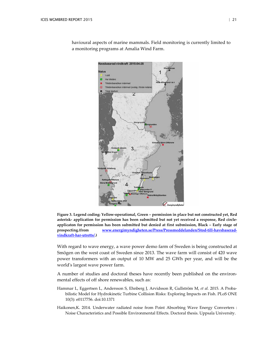

havioural aspects of marine mammals. Field monitoring is currently limited to a monitoring programs at Amalia Wind Farm.

**Figure 3. Legend coding: Yellow-operational, Green – permission in place but not constructed yet, Red asterisk- application for permission has been submitted but not yet received a response, Red circleapplicaton for permission has been submitted but denied at first submission, Black – Early stage of prospecting.(from [www.energimyndigheten.se/Press/Pressmeddelanden/Stod-till-havsbaserad](http://www.energimyndigheten.se/Press/Pressmeddelanden/Stod-till-havsbaserad-vindkraft-har-utretts/)[vindkraft-har-utretts/.\)](http://www.energimyndigheten.se/Press/Pressmeddelanden/Stod-till-havsbaserad-vindkraft-har-utretts/)**

With regard to wave energy, a wave power demo farm of Sweden is being constructed at Smögen on the west coast of Sweden since 2013. The wave farm will consist of 420 wave power transformers with an output of 10 MW and 25 GWh per year, and will be the world's largest wave power farm.

A number of studies and doctoral theses have recently been published on the environmental effects of off shore renewables, such as:

- Hammar L, Eggertsen L, Andersson S, Ehnberg J, Arvidsson R, Gullström M, *et al.* 2015. A Probabilistic Model for Hydrokinetic Turbine Collision Risks: Exploring Impacts on Fish. PLoS ONE 10(3): e0117756. doi:10.1371
- Haikonen,K. 2014. Underwater radiated noise from Point Absorbing Wave Energy Converters : Noise Characteristics and Possible Environmental Effects. Doctoral thesis. Uppsala University.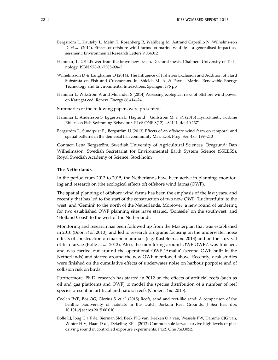- Bergström L, Kautsky L, Malm T, Rosenberg R, Wahlberg M, Åstrand Capetillo N, Wilhelms-son D. *et al.* (2014). Effects of offshore wind farms on marine wildlife – a generalised impact assessment. Environmental Research Letters 9 034012
- Hammar, L. 2014.Power from the brave new ocean. Doctoral thesis. Chalmers University of Technology. ISBN 978-91-7385-994-3.
- Wilhelmsson D & Langhamer O (2014). The Influence of Fisheries Exclusion and Addition of Hard Substrata on Fish and Crustaceans. In: Shields M. A. & Payne. Marine Renewable Energy Technology and Environmental Interactions. Springer. 176 pp
- Hammar L, Wikström A and Molander S (2014) Assessing ecological risks of offshore wind power on Kattegat cod. Renew. Energy 66 414–24
- Summaries of the following papers were presented:
- Hammar L, Andersson S, Eggertsen L, Haglund J, Gullström M, *et al.* (2013) Hydrokinetic Turbine Effects on Fish Swimming Behaviour. PLoS ONE 8(12): e84141. doi:10.1371
- Bergström L, Sundqvist F., Bergström U (2013) Effects of an offshore wind farm on temporal and spatial patterns in the demersal fish community Mar. Ecol. Prog. Ser. 485: 199–210

Contact: Lena Bergström, Swedish University of Agricultural Sciences, Öregrund; Dan Wilhelmsson, Swedish Secretariat for Environmental Earth System Science (SSEESS), Royal Swedish Academy of Science, Stockholm

#### The Netherlands

In the period from 2013 to 2015, the Netherlands have been active in planning, monitoring and research on (the ecological effects of) offshore wind farms (OWF).

The spatial planning of offshore wind farms has been the emphasis of the last years, and recently that has led to the start of the construction of two new OWF, 'Luchterduin' to the west, and 'Gemini' to the north of the Netherlands. Moreover, a new round of tendering for two established OWF planning sites have started, 'Borssele' on the southwest, and 'Holland Coast' to the west of the Netherlands.

Monitoring and research has been followed up from the Masterplan that was established in 2010 (Boon *et al.* 2010), and led to research programs focusing on the underwater noise effects of construction on marine mammals (e.g. Kastelein *et al.* 2013) and on the survival of fish larvae (Bolle *et al.* 2012). Also, the monitoring around OWF OWEZ was finished, and was carried out around the operational OWF 'Amalia' (second OWF built in the Netherlands) and started around the new OWF mentioned above. Recently, desk studies were finished on the cumulative effects of underwater noise on harbour porpoise and of collision risk on birds.

Furthermore, Ph.D. research has started in 2012 on the effects of artificial reefs (such as oil and gas platforms and OWF) to model the species distribution of a number of reef species present on artificial and natural reefs (Coolen *et al.* 2015).

- Coolen JWP, Bos OG, Glorius S, *et al.* (2015) Reefs, sand and reef-like sand: A comparison of the benthic biodiversity of habitats in the Dutch Borkum Reef Grounds. J Sea Res. doi: 10.1016/j.seares.2015.06.010
- Bolle LJ, Jong C a F de, Bierman SM, Beek PJG van, Keeken O a van, Wessels PW, Damme CJG van, Winter H V, Haan D de, Dekeling RP a (2012) Common sole larvae survive high levels of piledriving sound in controlled exposure experiments. PLoS One 7:e33052.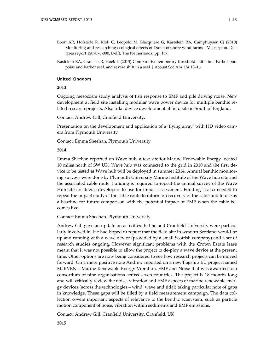- Boon AR, Hofstede R, Klok C, Leopold M, Blacquiere G, Kastelein RA, Camphuysen CJ (2010) Monitoring and researching ecological effects of Dutch offshore wind farms - Masterplan. Deltares report 1207076-000, Delft, The Netherlands, pp. 157.
- Kastelein RA, Gransier R, Hoek L (2013) Comparative temporary threshold shifts in a harbor porpoise and harbor seal, and severe shift in a seal. J Acoust Soc Am 134:13–16.

#### United Kingdom

#### **2013**

Ongoing mesocosm study analysis of fish response to EMF and pile driving noise. New development at field site installing modular wave power device for multiple benthic related research projects. Also tidal device development at field site in South of England.

Contact: Andrew Gill, Cranfield University.

Presentation on the development and application of a 'flying array' with HD video camera from Plymouth University

Contact: Emma Sheehan, Plymouth University

#### **2014**

Emma Sheehan reported on Wave hub, a test site for Marine Renewable Energy located 10 miles north of SW UK. Wave hub was connected to the grid in 2010 and the first device to be tested at Wave hub will be deployed in summer 2014. Annual benthic monitoring surveys were done by Plymouth University Marine Institute of the Wave hub site and the associated cable route. Funding is required to repeat the annual survey of the Wave Hub site for device developers to use for impact assessment. Funding is also needed to repeat the impact study of the cable route to inform on recovery of the cable and to use as a baseline for future comparison with the potential impact of EMF when the cable becomes live.

Contact: Emma Sheehan, Plymouth University

Andrew Gill gave an update on activities that he and Cranfield University were particularly involved in. He had hoped to report that the field site in western Scotland would be up and running with a wave device (provided by a small Scottish company) and a set of research studies ongoing. However significant problems with the Crown Estate lease meant that it was not possible to allow the project to de-ploy a wave device at the present time. Other options are now being considered to see how research projects can be moved forward. On a more positive note Andrew reported on a new flagship EU project named MaRVEN – Marine Renewable Energy Vibration, EMF and Noise that was awarded to a consortium of nine organisations across seven countries. The project is 18 months long and will critically review the noise, vibration and EMF aspects of marine renewable energy devices (across the technologies – wind, wave and tidal) taking particular note of gaps in knowledge. These gaps will be filled by a field measurement campaign. The data collection covers important aspects of relevance to the benthic ecosystem, such as particle motion component of noise, vibration within sediments and EMF emissions.

Contact: Andrew Gill, Cranfield University, Cranfield, UK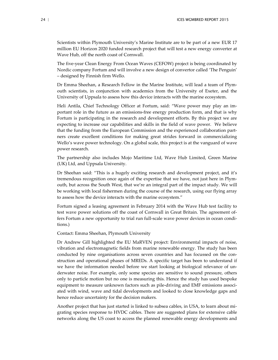Scientists within Plymouth University's Marine Institute are to be part of a new EUR 17 million EU Horizon 2020 funded research project that will test a new energy converter at Wave Hub, off the north coast of Cornwall.

The five-year Clean Energy From Ocean Waves (CEFOW) project is being coordinated by Nordic company Fortum and will involve a new design of convertor called 'The Penguin' – designed by Finnish firm Wello.

Dr Emma Sheehan, a Research Fellow in the Marine Institute, will lead a team of Plymouth scientists, in conjunction with academics from the University of Exeter, and the University of Uppsala to assess how this device interacts with the marine ecosystem.

Heli Antila, Chief Technology Officer at Fortum, said: "Wave power may play an important role in the future as an emissions-free energy production form, and that is why Fortum is participating in the research and development efforts. By this project we are expecting to increase our capabilities and skills in the field of wave power. We believe that the funding from the European Commission and the experienced collaboration partners create excellent conditions for making great strides forward in commercializing Wello's wave power technology. On a global scale, this project is at the vanguard of wave power research.

The partnership also includes Mojo Maritime Ltd, Wave Hub Limited, Green Marine (UK) Ltd, and Uppsala University.

Dr Sheehan said: "This is a hugely exciting research and development project, and it's tremendous recognition once again of the expertise that we have, not just here in Plymouth, but across the South West, that we're an integral part of the impact study. We will be working with local fishermen during the course of the research, using our flying array to assess how the device interacts with the marine ecosystem."

Fortum signed a leasing agreement in February 2014 with the Wave Hub test facility to test wave power solutions off the coast of Cornwall in Great Britain. The agreement offers Fortum a new opportunity to trial run full-scale wave power devices in ocean conditions.)

Contact: Emma Sheehan, Plymouth University

Dr Andrew Gill highlighted the EU MaRVEN project: Environmental impacts of noise, vibration and electromagnetic fields from marine renewable energy. The study has been conducted by nine organisations across seven countries and has focussed on the construction and operational phases of MREDs. A specific target has been to understand if we have the information needed before we start looking at biological relevance of underwater noise. For example, only some species are sensitive to sound pressure, others only to particle motion but no one is measuring this. Hence the study has used bespoke equipment to measure unknown factors such as pile-driving and EMF emissions associated with wind, wave and tidal developments and looked to close knowledge gaps and hence reduce uncertainty for the decision makers.

Another project that has just started is linked to subsea cables, in USA, to learn about migrating species response to HVDC cables. There are suggested plans for extensive cable networks along the US coast to access the planned renewable energy developments and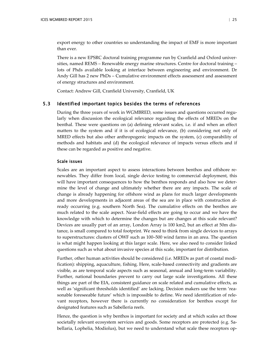export energy to other countries so understanding the impact of EMF is more important than ever.

There is a new EPSRC doctoral training programme run by Cranfield and Oxford universities, named REMS – Renewable energy marine structures. Centre for doctoral training – lots of Phds available looking at interface between engineering and environment. Dr Andy Gill has 2 new PhDs – Cumulative environment effects assessment and assessment of energy structures and environment.

Contact: Andrew Gill, Cranfield University, Cranfield, UK

#### 5.3 Identified important topics besides the terms of references

<span id="page-26-0"></span>During the three years of work in WGMBRED, some issues and questions occurred regularly when discussion the ecological relevance regarding the effects of MREDs on the benthal. These were questions on (a) defining relevant scales, i.e. if and when an effect matters to the system and if it is of ecological relevance, (b) considering not only of MRED effects but also other anthropogenic impacts on the system, (c) comparability of methods and habitats and (d) the ecological relevance of impacts versus effects and if these can be regarded as positive and negative.

#### Scale issues

Scales are an important aspect to assess interactions between benthos and offshore renewables. They differ from local, single device testing to commercial deployment, this will have important consequences to how the benthos responds and also how we determine the level of change and ultimately whether there are any impacts. The scale of change is already happening for offshore wind as plans for much larger developments and more developments in adjacent areas of the sea are in place with construction already occurring (e.g. southern North Sea). The cumulative effects on the benthos are much related to the scale aspect. Near-field effects are going to occur and we have the knowledge with which to determine the changes but are changes at this scale relevant? Devices are usually part of an array, London Array is 100 km2, but an effect at 50m distance, is small compared to total footprint. We need to think from single devices to arrays to superstructures: clusters of OWF such as 100–500 wind farms in an area. The question is what might happen looking at this larger scale. Here, we also need to consider linked questions such as what about invasive species at this scale, important for distribution.

Further, other human activities should be considered (i.e. MREDs as part of coastal modification): shipping, aquaculture, fishing. Here, scale-based connectivity and gradients are visible, as are temporal scale aspects such as seasonal, annual and long-term variability. Further, national boundaries prevent to carry out large scale investigations. All these things are part of the EIA, consistent guidance on scale related and cumulative effects, as well as 'significant thresholds identified' are lacking. Decision makers use the term 'reasonable foreseeable future' which is impossible to define. We need identification of relevant receptors, however there is currently no consideration for benthos except for designated features such as Sabelleria reefs.

Hence, the question is why benthos is important for society and at which scales act those societally relevant ecosystem services and goods. Some receptors are protected (e.g. Sabellaria, Lophelia, Modiolus), but we need to understand what scale these receptors op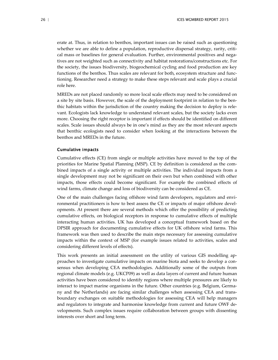erate at. Thus, in relation to benthos, important issues can be raised such as questioning whether we are able to define a population, reproductive dispersal strategy, rarity, critical mass or baselines for general evaluation. Further, environmental positives and negatives are not weighted such as connectivity and habitat restorations/constructions etc. For the society, the issues biodiversity, biogeochemical cycling and food production are key functions of the benthos. Thus scales are relevant for both, ecosystem structure and functioning. Researcher need a strategy to make these steps relevant and scale plays a crucial role here.

MREDs are not placed randomly so more local scale effects may need to be considered on a site by site basis. However, the scale of the deployment footprint in relation to the benthic habitats within the jurisdiction of the country making the decision to deploy is relevant. Ecologists lack knowledge to understand relevant scales, but the society lacks even more. Choosing the right receptor is important if effects should be identified on different scales. Scale issues should always be in one's mind as they are the most relevant aspects that benthic ecologists need to consider when looking at the interactions between the benthos and MREDs in the future.

#### Cumulative impacts

Cumulative effects (CE) from single or multiple activities have moved to the top of the priorities for Marine Spatial Planning (MSP). CE by definition is considered as the combined impacts of a single activity or multiple activities. The individual impacts from a single development may not be significant on their own but when combined with other impacts, those effects could become significant. For example the combined effects of wind farms, climate change and loss of biodiversity can be considered as CE.

One of the main challenges facing offshore wind farm developers, regulators and environmental practitioners is how to best assess the CE or impacts of major offshore developments. At present there are several methods which offer the possibility of predicting cumulative effects, on biological receptors in response to cumulative effects of multiple interacting human activities. UK has developed a conceptual framework based on the DPSIR approach for documenting cumulative effects for UK offshore wind farms. This framework was then used to describe the main steps necessary for assessing cumulative impacts within the context of MSP (for example issues related to activities, scales and considering different levels of effects).

This work presents an initial assessment on the utility of various GIS modelling approaches to investigate cumulative impacts on marine biota and seeks to develop a consensus when developing CEA methodologies. Additionally some of the outputs from regional climate models (e.g. UKCP09) as well as data layers of current and future human activities have been considered to identify regions where multiple pressures are likely to interact to impact marine organisms in the future. Other countries (e.g. Belgium, Germany and the Netherlands) are facing similar challenges when assessing CEA and transboundary exchanges on suitable methodologies for assessing CEA will help managers and regulators to integrate and harmonise knowledge from current and future OWF developments. Such complex issues require collaboration between groups with dissenting interests over short and long term.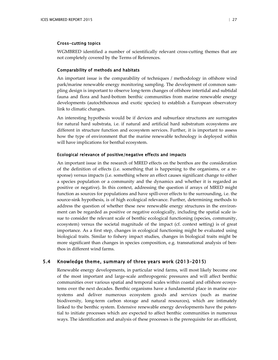#### Cross-cutting topics

WGMBRED identified a number of scientifically relevant cross-cutting themes that are not completely covered by the Terms of References.

#### Comparability of methods and habitats

An important issue is the comparability of techniques / methodology in offshore wind park/marine renewable energy monitoring sampling. The development of common sampling design is important to observe long-term changes of offshore intertidal and subtidal fauna and flora and hard-bottom benthic communities from marine renewable energy developments (autochthonous and exotic species) to establish a European observatory link to climatic changes.

An interesting hypothesis would be if devices and subsurface structures are surrogates for natural hard substrata, i.e. if natural and artificial hard substratum ecosystems are different in structure function and ecosystem services. Further, it is important to assess how the type of environment that the marine renewable technology is deployed within will have implications for benthal ecosystem.

#### Ecological relevance of positive/negative effects and impacts

An important issue in the research of MRED effects on the benthos are the consideration of the definition of effects (i.e. something that is happening to the organisms, or a response) versus impacts (i.e. something where an effect causes significant change to either a species population or a community and the dynamics and whether it is regarded as positive or negative). In this context, addressing the question if arrays of MRED might function as sources for populations and have spill-over effects to the surrounding, i.e. the source-sink hypothesis, is of high ecological relevance. Further, determining methods to address the question of whether these new renewable energy structures in the environment can be regarded as positive or negative ecologically, including the spatial scale issue to consider the relevant scale of benthic ecological functioning (species, community, ecosystem) versus the societal magnitude of the impact (cf. context setting) is of great importance. As a first step, changes in ecological functioning might be evaluated using biological traits. Similar to fishery impact studies, changes in biological traits might be more significant than changes in species composition, e.g. transnational analysis of benthos in different wind farms.

#### 5.4 Knowledge theme, summary of three years work (2013–2015)

<span id="page-28-0"></span>Renewable energy developments, in particular wind farms, will most likely become one of the most important and large-scale anthropogenic pressures and will affect benthic communities over various spatial and temporal scales within coastal and offshore ecosystems over the next decades. Benthic organisms have a fundamental place in marine ecosystems and deliver numerous ecosystem goods and services (such as marine biodiversity, long-term carbon storage and natural resources), which are intimately linked to the benthic system. Extensive renewable energy developments have the potential to initiate processes which are expected to affect benthic communities in numerous ways. The identification and analysis of these processes is the prerequisite for an efficient,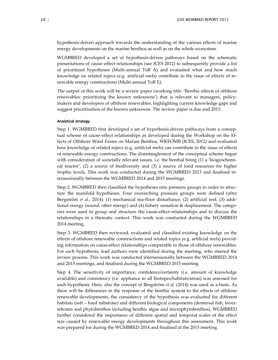hypothesis-driven approach towards the understanding of the various effects of marine energy developments on the marine benthos as well as on the whole ecosystem.

WGMBRED developed a set of hypothesis-driven pathways based on the schematic presentations of cause–effect-relationships (see ICES 2012) to subsequently provide a list of prioritized hypotheses (Multi-annual ToR A) and evaluated what and how much knowledge on related topics (e.g. artificial reefs) contribute to the issue of effects of renewable energy constructions (Multi-annual ToR E).

The output of this work will be a review paper (working title: 'Benthic effects of offshore renewables: prioritizing the known unknowns') that is relevant to managers, policymakers and developers of offshore renewables, highlighting current knowledge gaps and suggest prioritization of the known unknowns. The review paper is due end 2015.

#### Analytical strategy

Step 1. WGMBRED first developed a set of hypothesis-driven pathways from a conceptual scheme of cause–effect relationships as developed during the Workshop on the Effects of Offshore Wind Farms on Marine Benthos, WKEOMB (ICES, 2012) and evaluated how knowledge of related topics (e.g. artificial reefs) can contribute to the issue of effects of renewable energy constructions. The disentanglement of the conceptual scheme began with consideration of societally relevant issues, i.e. the benthal being (1) a 'biogeochemical reactor', (2) a source of biodiversity and (3) a source of food resources for higher trophic levels. This work was conducted during the WGMBRED 2013 and finalised intersessionally between the WGMBRED 2014 and 2015 meetings.

Step 2. WGMBRED then classified the hypotheses into pressure groups in order to structure the manifold hypotheses. Four overarching pressure groups were defined (after Bergström *et al.*, 2014): (1) mechanical sea-floor disturbance, (2) artificial reef, (3) additional energy (sound, other energy) and (4) fishery cessation & displacement. The categories were used to group and structure the cause-effect-relationships and to discuss the relationships in a thematic context. This work was conducted during the WGMBRED 2014 meeting.

Step 3. WGMBRED then reviewed, evaluated and classified existing knowledge on the effects of offshore renewable constructions and related topics (e.g. artificial reefs) providing information on cause-effect relationships comparable to those of offshore renewables. For each hypothesis, lead authors were identified during the meeting, who steered the review process. This work was conducted intersessionally between the WGMBRED 2014 and 2015 meetings, and finalised during the WGMBRED 2015 meeting.

Step 4. The sensitivity of importance, confidence/certainty (i.e. amount of knowledge available) and consistency (i.e. appliance to all biotopes/habitats/areas) was assessed for each hypothesis. Here, also the concept of Bergström *et al.* (2014) was used as a basis. As there will be differences in the response of the benthic system to the effects of offshore renewable developments, the consistency of the hypothesis was evaluated for different habitats (soft – hard substrate) and different biological components (demersal fish, invertebrates and phytobenthos including benthic algae and microphytobenthos). WGMBRED further considered the importance of different spatial and temporal scales of the effect size caused by renewable energy developments throughout this assessment. This work was prepared for during the WGMBRED 2014 and finalised at the 2015 meeting.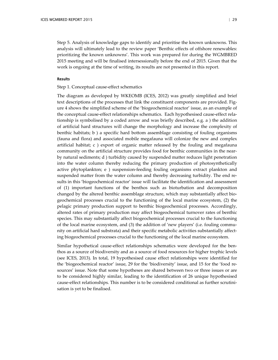Step 5. Analysis of knowledge gaps to identify and prioritise the known unknowns. This analysis will ultimately lead to the review paper 'Benthic effects of offshore renewables: prioritizing the known unknowns'. This work was prepared for during the WGMBRED 2015 meeting and will be finalised intersessionally before the end of 2015. Given that the work is ongoing at the time of writing, its results are not presented in this report.

#### Results

### Step 1. Conceptual cause-effect schematics

The diagram as developed by WKEOMB (ICES, 2012) was greatly simplified and brief text descriptions of the processes that link the constituent components are provided. Figure 4 shows the simplified scheme of the 'biogeochemical reactor' issue, as an example of the conceptual cause-effect relationships schematics. Each hypothesised cause-effect relationship is symbolised by a coded arrow and was briefly described, e.g. a ) the addition of artificial hard structures will change the morphology and increase the complexity of benthic habitats; b ) a specific hard bottom assemblage consisting of fouling organisms (fauna and flora) and associated mobile megafauna will colonize the new and complex artificial habitat;  $c$ ) export of organic matter released by the fouling and megafauna community on the artificial structure provides food for benthic communities in the nearby natural sediments; d ) turbidity caused by suspended matter reduces light penetration into the water column thereby reducing the primary production of photosynthetically active phytoplankton; e ) suspension-feeding fouling organisms extract plankton and suspended matter from the water column and thereby decreasing turbidity. The end results in this 'biogeochemical reactor' issue will facilitate the identification and assessment of (1) important functions of the benthos such as bioturbation and decomposition changed by the altered benthic assemblage structure, which may substantially affect biogeochemical processes crucial to the functioning of the local marine ecosystem, (2) the pelagic primary production support to benthic biogeochemical processes. Accordingly, altered rates of primary production may affect biogeochemical turnover rates of benthic species. This may substantially affect biogeochemical processes crucial to the functioning of the local marine ecosystem, and (3) the addition of 'new players' (i.e. fouling community on artificial hard substrata) and their specific metabolic activities substantially affecting biogeochemical processes crucial to the functioning of the local marine ecosystem.

Similar hypothetical cause-effect relationships schematics were developed for the benthos as a source of biodiversity and as a source of food resources for higher trophic levels (see ICES, 2013). In total, 19 hypothesised cause effect relationships were identified for the 'biogeochemical reactor' issue, 29 for the 'biodiversity' issue, and 15 for the 'food resources' issue. Note that some hypotheses are shared between two or three issues or are to be considered highly similar, leading to the identification of 26 unique hypothesised cause-effect relationships. This number is to be considered conditional as further scrutinisation is yet to be finalised.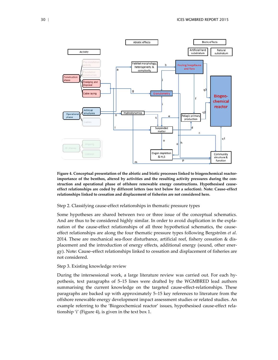

**Figure 4. Conceptual presentation of the abiotic and biotic processes linked to biogeochemical reactorimportance of the benthos, altered by activities and the resulting activity pressures during the construction and operational phase of offshore renewable energy constructions. Hypothesised causeeffect relationships are coded by different letters (see text below for a selection). Note: Cause–effect relationships linked to cessation and displacement of fisheries are not considered here.**

#### Step 2. Classifying cause-effect relationships in thematic pressure types

Some hypotheses are shared between two or three issue of the conceptual schematics. And are thus to be considered highly similar. In order to avoid duplication in the explanation of the cause-effect relationships of all three hypothetical schematics, the causeeffect relationships are along the four thematic pressure types following Bergström *et al.* 2014. These are mechanical sea-floor disturbance, artificial reef, fishery cessation & displacement and the introduction of energy effects, additional energy (sound, other energy). Note: Cause–effect relationships linked to cessation and displacement of fisheries are not considered.

#### Step 3. Existing knowledge review

During the intersessional work, a large literature review was carried out. For each hypothesis, text paragraphs of 5–15 lines were drafted by the WGMBRED lead authors summarising the current knowledge on the targeted cause-effect-relationships. These paragraphs are backed up with approximately 5–15 key references to literature from the offshore renewable energy development impact assessment studies or related studies. An example referring to the 'Biogeochemical reactor' issues, hypothesised cause-effect relationship 'i' (Figure 4), is given in the text box 1.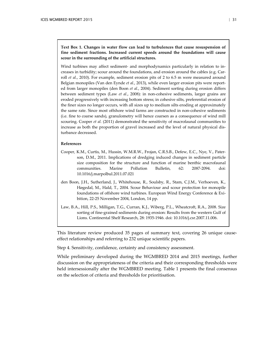**Text Box 1. Changes in water flow can lead to turbulences that cause resuspension of fine sediment fractions. Increased current speeds around the foundations will cause scour in the surrounding of the artificial structures.**

Wind turbines may affect sediment- and morphodynamics particularly in relation to increases in turbidity; scour around the foundations, and erosion around the cables (e.g. Carroll *et al.*, 2010). For example, sediment erosion pits of 2 to 6.5 m were measured around Belgian monopiles (Van den Eynde *et al.*, 2013), while even larger erosion pits were reported from larger monopiles (den Boon *et al.*, 2004). Sediment sorting during erosion differs between sediment types (Law *et al.*, 2008): in non-cohesive sediments, larger grains are eroded progressively with increasing bottom stress; in cohesive silts, preferential erosion of the finer sizes no longer occurs, with all sizes up to medium silts eroding at approximately the same rate. Since most offshore wind farms are constructed in non-cohesive sediments (i.e. fine to coarse sands), granulometry will hence coarsen as a consequence of wind mill scouring. Cooper *et al.* (2011) demonstrated the sensitivity of macrofaunal communities to increase as both the proportion of gravel increased and the level of natural physical disturbance decreased.

#### **References**

- Cooper, K.M., Curtis, M., Hussin, W.M.R.W., Frojan, C.R.S.B., Defew, E.C., Nye, V., Paterson, D.M., 2011. Implications of dredging induced changes in sediment particle size composition for the structure and function of marine benthic macrofaunal communities. Marine Pollution Bulletin, 62: 2087-2094. doi: 10.1016/j.marpolbul.2011.07.021
- den Boon, J.H., Sutherland, J., Whitehouse, R., Soulsby, R., Stam, C.J.M., Verhoeven, K., Høgedal, M., Hald, T., 2004. Scour Behaviour and scour protection for monopile foundations of offshore wind turbines. European Wind Energy Conference & Exibition, 22-25 November 2004, London, 14 pp.
- Law, B.A., Hill, P.S., Milligan, T.G., Curran, K.J., Wiberg, P.L., Wheatcroft, R.A., 2008. Size sorting of fine-grained sediments during erosion: Results from the western Gulf of Lions. Continental Shelf Research, 28: 1935-1946. doi: 10.1016/j.csr.2007.11.006.

This literature review produced 35 pages of summary text, covering 26 unique causeeffect relationships and referring to 232 unique scientific papers.

Step 4. Sensitivity, confidence, certainty and consistency assessment.

While preliminary developed during the WGMBRED 2014 and 2015 meetings, further discussion on the appropriateness of the criteria and their corresponding thresholds were held intersessionally after the WGMBRED meeting. Table 1 presents the final consensus on the selection of criteria and thresholds for prioritisation.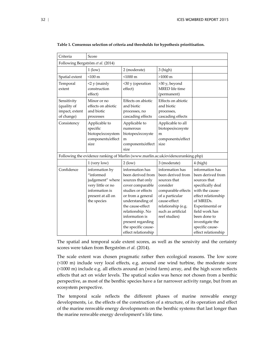| Score<br>Criteria                                                                                                          |                                                                                                                                                                                                                                                    |                                                                                                                                                                                        |                                                                                                                                                                                                                             |  |  |  |
|----------------------------------------------------------------------------------------------------------------------------|----------------------------------------------------------------------------------------------------------------------------------------------------------------------------------------------------------------------------------------------------|----------------------------------------------------------------------------------------------------------------------------------------------------------------------------------------|-----------------------------------------------------------------------------------------------------------------------------------------------------------------------------------------------------------------------------|--|--|--|
| Following Bergström et al. (2014)                                                                                          |                                                                                                                                                                                                                                                    |                                                                                                                                                                                        |                                                                                                                                                                                                                             |  |  |  |
| $1$ (low)                                                                                                                  |                                                                                                                                                                                                                                                    |                                                                                                                                                                                        |                                                                                                                                                                                                                             |  |  |  |
| $<$ 100 $m$                                                                                                                | $< 1000 \text{ m}$                                                                                                                                                                                                                                 | $>1000 \text{ m}$                                                                                                                                                                      |                                                                                                                                                                                                                             |  |  |  |
| $<$ 2 y (mainly<br>construction<br>effect)                                                                                 | <30 y (operation<br>effect)                                                                                                                                                                                                                        | >30 y, beyond<br>MRED life time<br>(permanent)                                                                                                                                         |                                                                                                                                                                                                                             |  |  |  |
| Minor or no<br>effects on abiotic<br>and biotic<br>processes                                                               | Effects on abiotic<br>and biotic<br>processes, no<br>cascading effects                                                                                                                                                                             | Effects on abiotic<br>and biotic<br>processes,<br>cascading effects                                                                                                                    |                                                                                                                                                                                                                             |  |  |  |
| Applicable to<br>specific<br>biotope/ecosystem<br>components/effect<br>size                                                | Applicable to<br>numerous<br>biotopes/ecosyste<br>m<br>components/effect<br>size                                                                                                                                                                   | Applicable to all<br>biotopes/ecosyste<br>m<br>components/effect<br>size                                                                                                               |                                                                                                                                                                                                                             |  |  |  |
|                                                                                                                            | Following the evidence ranking of Marlin (www.marlin.ac.uk/evidenceranking.php)                                                                                                                                                                    |                                                                                                                                                                                        |                                                                                                                                                                                                                             |  |  |  |
| 1 (very low)                                                                                                               | $2$ (low)                                                                                                                                                                                                                                          | 3 (moderate)                                                                                                                                                                           | 4 (high)                                                                                                                                                                                                                    |  |  |  |
| information by<br>"informed<br>judgement" where<br>very little or no<br>information is<br>present at all on<br>the species | information has<br>been derived from<br>sources that only<br>cover comparable<br>studies or effects<br>or from a general<br>understanding of<br>the cause-effect<br>relationship. No<br>information is<br>present regarding<br>the specific cause- | information has<br>been derived from<br>sources that<br>consider<br>comparable effects<br>of a particular<br>cause-effect<br>relationship (e.g.<br>such as artificial<br>reef studies) | information has<br>been derived from<br>sources that<br>specifically deal<br>with the cause-<br>effect relationship<br>of MREDs.<br>Experimental or<br>field work has<br>been done to<br>investigate the<br>specific cause- |  |  |  |
|                                                                                                                            |                                                                                                                                                                                                                                                    | 2 (moderate)<br>effect relationship                                                                                                                                                    | 3 (high)                                                                                                                                                                                                                    |  |  |  |

**Table 1. Consensus selection of criteria and thresholds for hypothesis prioritisation.** 

The spatial and temporal scale extent scores, as well as the sensivity and the certainty scores were taken from Bergström *et al.* (2014).

The scale extent was chosen pragmatic rather then ecological reasons. The low score (<100 m) include very local effects, e.g. around one wind turbine, the moderate score (<1000 m) include e.g. all effects around an (wind farm) array, and the high score reflects effects that act on wider levels. The spatical scales was hence not chosen from a benthic perspective, as most of the benthic species have a far narrower activity range, but from an ecosystem perspective.

The temporal scale reflects the different phases of marine renwable energy developments, i.e. the effects of the construction of a structure, of its operation and effect of the marine renwable energy developments on the benthic systems that last longer than the marine renwable energy development's life time.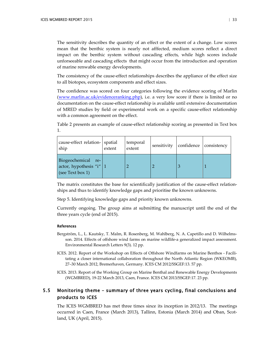The sensitivity describes the quantity of an effect or the extent of a change. Low scores mean that the benthic system is nearly not afffected, medium scores reflect a direct impact on the benthic system without cascading effects, while high scores include unforseeable and cascading effects that might occur from the introduction and operation of marine renwable energy developments.

The consistency of the cause-effect relationships describes the appliance of the effect size to all biotopes, ecosystem components and effect sizes.

The confidence was scored on four categories following the evidence scoring of Marlin [\(www.marlin.ac.uk/evidenceranking.php\)](http://www.marlin.ac.uk/evidenceranking.php), i.e. a very low score if there is limited or no documentation on the cause-effect relationship is available until extensive documentation of MRED studies by field or experimental work on a specific cause-effect relationship with a common agreement on the effect.

Table 2 presents an example of cause-effect relationship scoring as presented in Text box 1.

| cause-effect relation- spatial<br>ship                                   | extent | temporal<br>extent | sensitivity | confidence | consistency |
|--------------------------------------------------------------------------|--------|--------------------|-------------|------------|-------------|
| Biogeochemical<br>re-<br>actor, hypothesis "i"   $1$<br>(see Text box 1) |        |                    |             |            |             |

The matrix constitutes the base for scientifically justification of the cause-effect relationships and thus to identify knowledge gaps and prioritise the known unknowns.

Step 5. Identifying knowledge gaps and priority known unknowns.

Currently ongoing. The group aims at submitting the manuscript until the end of the three years cycle (end of 2015).

#### **References**

- Bergström, L., L. Kautsky, T. Malm, R. Rosenberg, M. Wahlberg, N. A. Capetillo and D. Wilhelmsson. 2014. Effects of offshore wind farms on marine wildlife-a generalized impact assessment. Environmental Research Letters 9(3). 12 pp.
- ICES. 2012. Report of the Workshop on Effects of Offshore Windfarms on Marine Benthos Facilitating a closer international collaboration throughout the North Atlantic Region (WKEOMB), 27–30 March 2012, Bremerhaven, Germany. ICES CM 2012/SSGEF:13. 57 pp.
- ICES. 2013. Report of the Working Group on Marine Benthal and Renewable Energy Developments (WGMBRED), 19-22 March 2013, Caen, France. ICES CM 2013/SSGEF:17. 23 pp.

## 5.5 Monitoring theme – summary of three years cycling, final conclusions and products to ICES

<span id="page-34-0"></span>The ICES WGMBRED has met three times since its inception in 2012/13. The meetings occurred in Caen, France (March 2013), Tallinn, Estonia (March 2014) and Oban, Scotland, UK (April, 2015).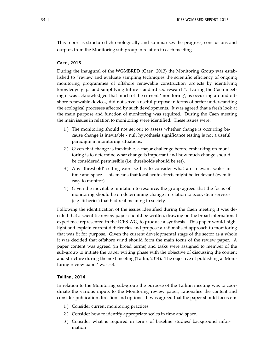This report is structured chronologically and summarises the progress, conclusions and outputs from the Monitoring sub-group in relation to each meeting.

## Caen, 2013

During the inaugural of the WGMBRED (Caen, 2013) the Monitoring Group was established to "review and evaluate sampling techniques the scientific efficiency of ongoing monitoring programmes of offshore renewable construction projects by identifying knowledge gaps and simplifying future standardised research". During the Caen meeting it was acknowledged that much of the current 'monitoring', as occurring around offshore renewable devices, did not serve a useful purpose in terms of better understanding the ecological processes affected by such developments. It was agreed that a fresh look at the main purpose and function of monitoring was required. During the Caen meeting the main issues in relation to monitoring were identified. These issues were:

- 1 ) The monitoring should not set out to assess whether change is occurring because change is inevitable - null hypothesis significance testing is not a useful paradigm in monitoring situations.
- 2 ) Given that change is inevitable, a major challenge before embarking on monitoring is to determine what change is important and how much change should be considered permissible (i.e. thresholds should be set).
- 3 ) Any 'threshold' setting exercise has to consider what are relevant scales in time and space. This means that local acute effects might be irrelevant (even if easy to monitor).
- 4 ) Given the inevitable limitation to resource, the group agreed that the focus of monitoring should be on determining change in relation to ecosystem services (e.g. fisheries) that had real meaning to society.

Following the identification of the issues identified during the Caen meeting it was decided that a scientific review paper should be written, drawing on the broad international experience represented in the ICES WG, to produce a synthesis. This paper would highlight and explain current deficiencies and propose a rationalised approach to monitoring that was fit for purpose. Given the current developmental stage of the sector as a whole it was decided that offshore wind should form the main focus of the review paper. A paper content was agreed (in broad terms) and tasks were assigned to member of the sub-group to initiate the paper writing phase with the objective of discussing the content and structure during the next meeting (Tallin, 2014). The objective of publishing a 'Monitoring review paper' was set.

#### Tallinn, 2014

In relation to the Monitoring sub-group the purpose of the Tallinn meeting was to coordinate the various inputs to the Monitoring review paper, rationalise the content and consider publication direction and options. It was agreed that the paper should focus on:

- 1 ) Consider current monitoring practices
- 2 ) Consider how to identify appropriate scales in time and space.
- 3 ) Consider what is required in terms of baseline studies/ background information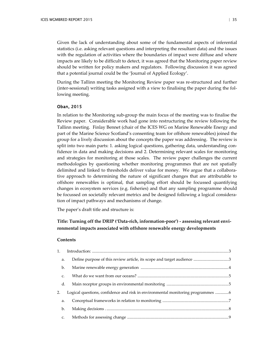Given the lack of understanding about some of the fundamental aspects of inferential statistics (i.e. asking relevant questions and interpreting the resultant data) and the issues with the regulation of activities where the boundaries of impact were diffuse and where impacts are likely to be difficult to detect, it was agreed that the Monitoring paper review should be written for policy makers and regulators. Following discussion it was agreed that a potential journal could be the 'Journal of Applied Ecology'.

During the Tallinn meeting the Monitoring Review paper was re-structured and further (inter-sessional) writing tasks assigned with a view to finalising the paper during the following meeting.

#### Oban, 2015

In relation to the Monitoring sub-group the main focus of the meeting was to finalise the Review paper. Considerable work had gone into restructuring the review following the Tallinn meeting. Finlay Bennet (chair of the ICES WG on Marine Renewable Energy and part of the Marine Science Scotland's consenting team for offshore renewables) joined the group for a lively discussion about the concepts the paper was addressing. The review is split into two main parts: 1. asking logical questions, gathering data, understanding confidence in data and making decisions and 2. Determining relevant scales for monitoring and strategies for monitoring at those scales. The review paper challenges the current methodologies by questioning whether monitoring programmes that are not spatially delimited and linked to thresholds deliver value for money. We argue that a collaborative approach to determining the nature of significant changes that are attributable to offshore renewables is optimal, that sampling effort should be focussed quantifying changes in ecosystem services (e.g. fisheries) and that any sampling programme should be focussed on societally relevant metrics and be designed following a logical consideration of impact pathways and mechanisms of change.

The paper's draft title and structure is:

## **Title: Turning off the DRIP ('Data-rich, information-poor') - assessing relevant environmental impacts associated with offshore renewable energy developments**

#### **Contents**

| 1. | Introduction: 33                                                                |  |
|----|---------------------------------------------------------------------------------|--|
| a. |                                                                                 |  |
| b. |                                                                                 |  |
| C. |                                                                                 |  |
| d. |                                                                                 |  |
| 2. | Logical questions, confidence and risk in environmental monitoring programmes 6 |  |
| a. |                                                                                 |  |
| b. |                                                                                 |  |
| c. |                                                                                 |  |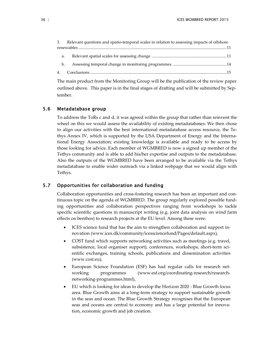| 3. | Relevant questions and spatio-temporal scales in relation to assessing impacts of offshore |  |  |  |  |  |
|----|--------------------------------------------------------------------------------------------|--|--|--|--|--|
|    |                                                                                            |  |  |  |  |  |
| a. |                                                                                            |  |  |  |  |  |
| b. |                                                                                            |  |  |  |  |  |
|    |                                                                                            |  |  |  |  |  |

The main product from the Monitoring Group will be the publication of the review paper outlined above. This paper is in the final stages of drafting and will be submitted by September.

### 5.6 Metadatabase group

<span id="page-37-0"></span>To address the ToRs c and d, it was agreed within the group that rather than reinvent the wheel on this we would assess the availability of existing metadatabases. We then chose to align our activities with the best international metadatabase access resource, the Tethys Annex IV, which is supported by the USA Department of Energy and the International Energy Association; existing knowledge is available and ready to be access by those looking for advice. Each member of WGMBRED is now a signed up member of the Tethys community and is able to add his/her expertise and outputs to the metadatabase. Also the outputs of the WGMBRED have been arranged to be available via the Tethys metadatabase to enable wider outreach via a linked webpage that we would align with Tethys.

## 5.7 Opportunities for collaboration and funding

<span id="page-37-1"></span>Collaboration opportunities and cross-fostering research has been an important and continuous topic on the agenda of WGMBRED. The group regularly explored possible funding opportunities and collaboration perspectives ranging from workshops to tackle specific scientific questions in manuscript writing (e.g. joint data analysis on wind farm effects on benthos) to research projects at the EU level. Among these were:

- ICES science fund that has the aim to strengthen collaboration and support innovation [\(www.ices.dk/community/icessciencefund/Pages/default.aspx\)](http://www.ices.dk/community/icessciencefund/Pages/default.aspx),
- COST fund which supports networking activities such as meetings (e.g. travel, subsistence, local organiser support), conferences, workshops, short-term scientific exchanges, training schools, publications and dissemination activities (www.cost.eu),
- European Science Foundation (ESF) has had regular calls for research networking programmes (www.esf.org/coordinating-research/researchnetworking-programmes.html),
- EU which is looking for ideas to develop the Horizon 2020 Blue Growth focus area. Blue Growth aims at a long-term strategy to support sustainable growth in the seas and ocean. The Blue Growth Strategy recognises that the European seas and oceans are central to economy and has a large potential for innovation, economic growth and job creation.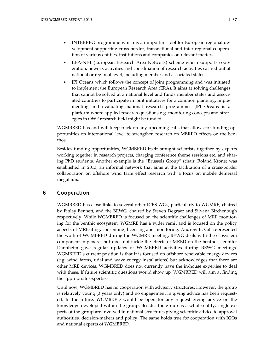- INTERREG programme which is an important tool for European regional development supporting cross-border, transnational and inter-regional cooperation of various entities, institutions and companies on relevant matters.
- ERA-NET (European Research Area Network) scheme which supports cooperation, nework activities and coordination of research activities carried out at national or regional level, including member and associated states.
- JPI Oceans which follows the concept of joint programming and was initiated to implement the European Research Area (ERA). It aims at solving challenges that cannot be solved at a national level and funds member states and associated countries to participate in joint initiatives for a common planning, implementing and evaluating national research programmes. JPI Oceans is a platform where applied research questions e.g. monitoring concepts and strategies in OWF research field might be funded.

WGMBRED has and will keep track on any upcoming calls that allows for funding opportunities on international level to strengthen research on MBRED effects on the benthos.

Besides funding opportunities, WGMBRED itself brought scientists together by experts working together in research projects, charging conference theme sessions etc. and sharing PhD students. Another example is the "Brussels Group" (chair: Roland Krone) was established in 2013, an informal network that aims at the facilitation of a cross-border collaboration on offshore wind farm effect research with a focus on mobile demersal megafauna.

## 6 Cooperation

<span id="page-38-0"></span>WGMBRED has close links to several other ICES WGs, particularly to WGMRE, chaired by Finlay Bennett, and the BEWG, chaired by Steven Degraer and Silvana Birchenough respectively. While WGMBRED is focused on the scientific challenges of MRE monitoring for the benthic ecosystem, WGMRE has a wider remit and is focused on the policy aspects of MREsiting, consenting, licensing and monitoring. Andrew B. Gill represented the work of WGMBRED during the WGMRE meeting. BEWG deals with the ecosystem component in general but does not tackle the effects of MRED on the benthos. Jennifer Dannheim gave regular updates of WGMBRED activities during BEWG meetings. WGMBRED's current position is that it is focused on offshore renewable energy devices (e.g. wind farms, tidal and wave energy installations) but acknowledges that there are other MRE devices. WGMBRED does not currently have the in-house expertise to deal with these. If future scientific questions would show up, WGMBRED will aim at finding the appropriate expertise.

Until now, WGMBRED has no cooperation with advisory structures. However, the group is relatively young (3 years only) and no engagement in giving advice has been requested. In the future, WGMBRED would be open for any request giving advice on the knowledge developed within the group. Besides the group as a whole entity, single experts of the group are involved in national structures giving scientific advice to approval authorities, decision-makers and policy. The same holds true for cooperation with IGOs and national experts of WGMBRED.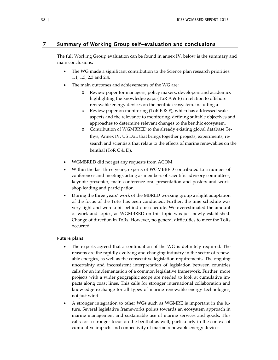## 7 Summary of Working Group self-evaluation and conclusions

<span id="page-39-0"></span>The full Working Group evaluation can be found in annex IV, below is the summary and main conclusions:

- The WG made a significant contribution to the Science plan research priorities: 1.1, 1.3, 2.3 and 2.4.
- The main outcomes and achievements of the WG are:
	- Review paper for managers, policy makers, developers and academics highlighting the knowledge gaps (ToR A & E) in relation to offshore renewable energy devices on the benthic ecosystem. including a
	- o Review paper on monitoring (ToR B & F), which has addressed scale aspects and the relevance to monitoring, defining suitable objectives and approaches to determine relevant changes to the benthic ecosystem.
	- o Contribution of WGMBRED to the already existing global database Tethys, Annex IV, US DoE that brings together projects, experiments, research and scientists that relate to the effects of marine renewables on the benthal (ToR C & D).
- WGMBRED did not get any requests from ACOM.
- Within the last three years, experts of WGMBRED contributed to a number of conferences and meetings acting as members of scientific advisory committees, keynote presenter, main conference oral presentation and posters and workshop leading and participation.
- During the three years' work of the MBRED working group a slight adaptation of the focus of the ToRs has been conducted. Further, the time schedule was very tight and were a bit behind our schedule. We overestimated the amount of work and topics, as WGMBRED on this topic was just newly established. Change of direction in ToRs. However, no general difficulties to meet the ToRs occurred.

#### Future plans

- The experts agreed that a continuation of the WG is definitely required. The reasons are the rapidly evolving and changing industry in the sector of renewable energies, as well as the consecutive legislation requirements. The ongoing uncertainty and inconsistent interpretation of legislation between countries calls for an implementation of a common legislative framework. Further, more projects with a wider geographic scope are needed to look at cumulative impacts along coast lines. This calls for stronger international collaboration and knowledge exchange for all types of marine renewable energy technologies, not just wind.
- A stronger integration to other WGs such as WGMRE is important in the future. Several legislative frameworks points towards an ecosystem approach in marine management and sustainable use of marine services and goods. This calls for a stronger focus on the benthal as well, particularly in the context of cumulative impacts and connectivity of marine renewable energy devices.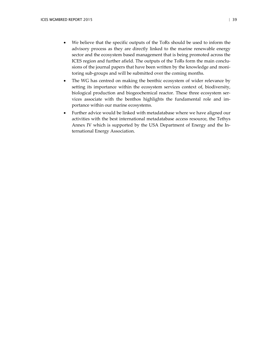- We believe that the specific outputs of the ToRs should be used to inform the advisory process as they are directly linked to the marine renewable energy sector and the ecosystem based management that is being promoted across the ICES region and further afield. The outputs of the ToRs form the main conclusions of the journal papers that have been written by the knowledge and monitoring sub-groups and will be submitted over the coming months.
- The WG has centred on making the benthic ecosystem of wider relevance by setting its importance within the ecosystem services context of, biodiversity, biological production and biogeochemical reactor. These three ecosystem services associate with the benthos highlights the fundamental role and importance within our marine ecosystems.
- Further advice would be linked with metadatabase where we have aligned our activities with the best international metadatabase access resource, the Tethys Annex IV which is supported by the USA Department of Energy and the International Energy Association.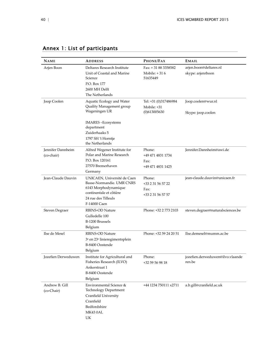<span id="page-41-0"></span>

| <b>NAME</b>                     | <b>ADDRESS</b>                                                                                                                                                             | <b>PHONE/FAX</b>                                         | <b>EMAIL</b>                                |
|---------------------------------|----------------------------------------------------------------------------------------------------------------------------------------------------------------------------|----------------------------------------------------------|---------------------------------------------|
| Arjen Boon                      | Deltares Research Institute<br>Unit of Coastal and Marine<br>Science<br>P.O. Box 177<br>2600 MH Delft<br>The Netherlands                                                   | Fax: +31 88 3358582<br>Mobile: $+316$<br>51635449        | arjen.boon@deltares.nl<br>skype: arjenrboon |
| Joop Coolen                     | Aquatic Ecology and Water<br>Quality Management group<br>Wageningen UR<br><b>IMARES-Ecosystems</b><br>department<br>Zuiderhaaks 5<br>1797 SH 't Horntje<br>the Netherlands | Tel: +31 (0)317486984<br>Mobile: +31<br>(0)613005630     | Joop.coolen@wur.nl<br>Skype: joop.coolen    |
| Jennifer Dannheim<br>(co-chair) | Alfred Wegener Institute for<br>Polar and Marine Research<br>P.O. Box 120161<br>27570 Bremerhaven<br>Germany                                                               | Phone:<br>+49 471 4831 1734<br>Fax:<br>+49 471 4831 1425 | Jennifer.Dannheim@awi.de                    |
| Jean-Claude Dauvin              | UNICAEN, Université de Caen<br>Basse-Normandie. UMR CNRS<br>6143 Morphodynamique<br>continentale et côtière<br>24 rue des Tilleuls<br>F-14000 Caen                         | Phone:<br>+33 2 31 56 57 22<br>Fax:<br>+33 2 31 56 57 57 | jean-claude.dauvin@unicaen.fr               |
| <b>Steven Degraer</b>           | <b>RBINS-OD Nature</b><br>Gulledelle 100<br>B-1200 Brussels<br>Belgium                                                                                                     | Phone: +32 2 773 2103                                    | steven.degraer@naturalsciences.be           |
| Ilse de Mesel                   | <b>RBINS-OD Nature</b><br>3 <sup>e</sup> en 23 <sup>e</sup> linieregimentsplein<br>B-8400 Oostende<br>Belgium                                                              | Phone: +32 59 24 20 51                                   | Ilse.demesel@mumm.ac.be                     |
| Jozefien Derweduwen             | Institute for Agricultural and<br>Fisheries Research (ILVO)<br>Ankerstraat 1<br>B-8400 Oostende<br>Belgium                                                                 | Phone:<br>+32 59 56 98 18                                | jozefien.derweduwen@ilvo.vlaande<br>ren.be  |
| Andrew B. Gill<br>(co-Chair)    | Environmental Science &<br>Technology Department<br>Cranfield University<br>Cranfield<br>Bedfordshire<br>MK430AL<br>UK                                                     | +44 1234 750111 x2711                                    | a.b.gill@cranfield.ac.uk                    |

## Annex 1: List of participants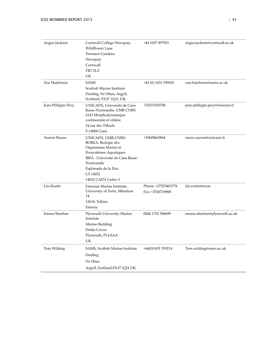| Angus Jackson      | Cornwall College Newquay,<br><b>Wildflower Lane</b><br><b>Trenance Gardens</b><br>Newquay<br>Cornwall<br>TR7 2LZ<br>UK                                                                                 | +44 1637 857921                         | angus.jackson@cornwall.ac.uk  |
|--------------------|--------------------------------------------------------------------------------------------------------------------------------------------------------------------------------------------------------|-----------------------------------------|-------------------------------|
| Zoe Hutchison      | <b>SAMS</b><br>Scottish Marine Institute<br>Dunbeg, Nr Oban, Argyll,<br>Scotland, PA37 1QA, UK,                                                                                                        | $+44$ (0) 1631 559425                   | zoe.hutchison@sams.ac.uk      |
| Jean-Philippe Pezy | UNICAEN, Université de Caen<br>Basse-Normandie. UMR CNRS<br>6143 Morphodynamique<br>continentale et côtière<br>24 rue des Tilleuls<br>F-14000 Caen                                                     | +33231565708                            | jean-philippe.pezy@unicaen.fr |
| Aurore Raoux       | UNICAEN, UMR-CNRS-<br>BOREA, Biologie des<br>Organismes Marins et<br>Écosystèmes Aquatiques<br>IBFA - Université de Caen Basse-<br>Normandie<br>Esplanade de la Paix<br>CS 14032<br>14032 CAEN Cedex 5 | +33649663864                            | raoux.aurore@unicaen.fr       |
| Liis Rostin        | Estonian Marine Institute,<br>University of Tartu, Mäealuse<br>14,<br>12618, Tallinn<br>Estonia                                                                                                        | Phone: +37253403778<br>Fax: +3726718900 | liis.rostin@ut.ee             |
| Emma Sheehan       | Plymouth University Marine<br>Institute<br>Marine Building<br>Drake Circus<br>Plymouth, PL4 8AA<br>UK                                                                                                  | 0044 1752 584699                        | emma.sheehan@plymouth.ac.uk   |
| Tom Wilding        | SAMS, Scottish Marine Institute<br>Dunbeg<br>Nr Oban<br>Argyll, Scotland, PA37 1QA UK,                                                                                                                 | +44(0)1631 559214                       | Tom.wilding@sams.ac.uk        |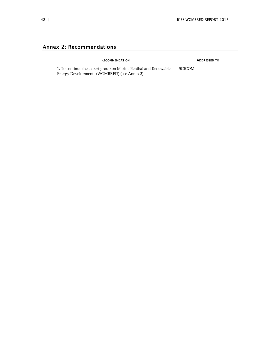## Annex 2: Recommendations

<span id="page-43-0"></span>

| <b>RECOMMENDATION</b>                                           | <b>ADDRESSED TO</b> |
|-----------------------------------------------------------------|---------------------|
| 1. To continue the expert group on Marine Benthal and Renewable | <b>SCICOM</b>       |
| Energy Developments (WGMBRED) (see Annex 3)                     |                     |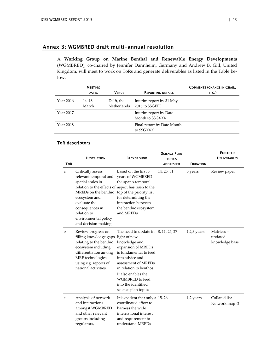## Annex 3: WGMBRED draft multi-annual resolution

<span id="page-44-0"></span>A **Working Group on Marine Benthal and Renewable Energy Developments** (WGMBRED), co-chaired by Jennifer Dannheim, Germany and Andrew B. Gill, United Kingdom, will meet to work on ToRs and generate deliverables as listed in the Table below.

|           | <b>MEETING</b>     |                           |                                            | <b>COMMENTS (CHANGE IN CHAIR,</b> |
|-----------|--------------------|---------------------------|--------------------------------------------|-----------------------------------|
|           | <b>DATES</b>       | <b>VENUE</b>              | <b>REPORTING DETAILS</b>                   | ETC.)                             |
| Year 2016 | $14 - 18$<br>March | Delft, the<br>Netherlands | Interim report by 31 May<br>2016 to SSGEPI |                                   |
| Year 2017 |                    |                           | Interim report by Date<br>Month to SSGXXX  |                                   |
| Year 2018 |                    |                           | Final report by Date Month<br>to SSGXXX    |                                   |

## ToR descriptors

| <b>TOR</b>   | <b>DESCRIPTION</b>                                                                                                                                                                                                                                               | <b>BACKGROUND</b>                                                                                                                                                                                                                                                                          | <b>SCIENCE PLAN</b><br><b>TOPICS</b><br><b>ADDRESSED</b> | <b>DURATION</b> | <b>EXPECTED</b><br><b>DELIVERABLES</b> |
|--------------|------------------------------------------------------------------------------------------------------------------------------------------------------------------------------------------------------------------------------------------------------------------|--------------------------------------------------------------------------------------------------------------------------------------------------------------------------------------------------------------------------------------------------------------------------------------------|----------------------------------------------------------|-----------------|----------------------------------------|
| a            | Critically assess<br>relevant temporal and<br>spatial scales in<br>relation to the effects of aspect has risen to the<br>MREDs on the benthic<br>ecosystem and<br>evaluate the<br>consequences in<br>relation to<br>environmental policy<br>and decision-making. | Based on the first 3<br>years of WGMBRED<br>the spatio-temporal<br>top of the priority list<br>for determining the<br>interaction between<br>the benthic ecosystem<br>and MREDs                                                                                                            | 14, 25, 31                                               | 3 years         | Review paper                           |
| $\mathbf b$  | Review progress on<br>filling knowledge gaps<br>relating to the benthic<br>ecosystem including<br>differentiation among<br>MRE technologies<br>using e.g. reports of<br>national activities.                                                                     | The need to update in $8, 11, 25, 27$<br>light of new<br>knowledge and<br>expansion of MREDs<br>is fundamental to feed<br>into advice and<br>assessment of MREDs<br>in relation to benthos.<br>It also enables the<br><b>WGMBRED</b> to feed<br>into the identified<br>science plan topics |                                                          | $1,2,3$ years   | Matrices-<br>updated<br>knowledge base |
| $\mathbf{C}$ | Analysis of network<br>and interactions<br>amongst WGMBRED<br>and other relevant<br>groups including<br>regulators,                                                                                                                                              | It is evident that only a 15, 26<br>coordinated effort to<br>harness the wide<br>international interest<br>and requirement to<br>understand MREDs                                                                                                                                          |                                                          | 1,2 years       | Collated list -1<br>Network map -2     |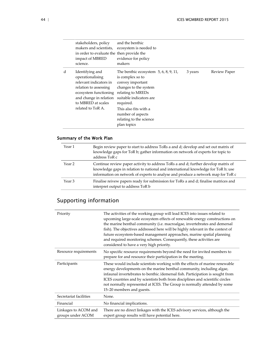|   | stakeholders, policy<br>makers and scientists,<br>in order to evaluate the then provide the<br>impact of MBRED<br>science.                                                           | and the benthic<br>ecosystem is needed to<br>evidence for policy<br>makers                                                                                                                                                                                    |         |              |
|---|--------------------------------------------------------------------------------------------------------------------------------------------------------------------------------------|---------------------------------------------------------------------------------------------------------------------------------------------------------------------------------------------------------------------------------------------------------------|---------|--------------|
| d | Identifying and<br>operationalising<br>relevant indicators in<br>relation to assessing<br>ecosystem functioning<br>and change in relation<br>to MBRED at scales<br>related to ToR A. | The benthic ecosystem $5, 6, 8, 9, 11,$<br>is complex so to<br>convey important<br>changes to the system<br>relating to MREDs<br>suitable indicators are<br>required.<br>This also fits with a<br>number of aspects<br>relating to the science<br>plan topics | 3 years | Review Paper |

## Summary of the Work Plan

| Year 1            | Begin review paper to start to address ToRs a and d; develop and set out matrix of<br>knowledge gaps for ToR b; gather information on network of experts for topic to<br>address ToR c                                                                     |
|-------------------|------------------------------------------------------------------------------------------------------------------------------------------------------------------------------------------------------------------------------------------------------------|
| Year 2            | Continue review paper activity to address ToRs a and d; further develop matrix of<br>knowledge gaps in relation to national and international knowledge for ToR b; use<br>information on network of experts to analyse and produce a network map for ToR c |
| Year <sub>3</sub> | Finalise reivew papers ready for submission for ToRs a and d; finalise matrices and<br>interpret output to address ToR b                                                                                                                                   |

# Supporting information

| Priority                                  | The activities of the working group will lead ICES into issues related to<br>upcoming large-scale ecosystem effects of renewable energy constructions on<br>the marine benthal community (i.e. macroalgae, invertebrates and demersal<br>fish). The objectives addressed here will be highly relevant in the context of<br>future ecosystem-based management approaches, marine spatial planning<br>and required monitoring schemes. Consequently, these activities are<br>considered to have a very high priority. |
|-------------------------------------------|---------------------------------------------------------------------------------------------------------------------------------------------------------------------------------------------------------------------------------------------------------------------------------------------------------------------------------------------------------------------------------------------------------------------------------------------------------------------------------------------------------------------|
| Resource requirements                     | No specific resource requirements beyond the need for invited members to<br>prepare for and resource their participation in the meeting.                                                                                                                                                                                                                                                                                                                                                                            |
| Participants                              | These would include scientists working with the effects of marine renewable<br>energy developments on the marine benthal community, including algae,<br>infaunal invertebrates to benthic /demersal fish. Participation is sought from<br>ICES countries and by scientists both from disciplines and scientific circles<br>not normally represented at ICES. The Group is normally attended by some<br>15-20 members and guests.                                                                                    |
| Secretariat facilities                    | None.                                                                                                                                                                                                                                                                                                                                                                                                                                                                                                               |
| Financial                                 | No financial implications.                                                                                                                                                                                                                                                                                                                                                                                                                                                                                          |
| Linkages to ACOM and<br>groups under ACOM | There are no direct linkages with the ICES advisory services, although the<br>expert group results will have potential here.                                                                                                                                                                                                                                                                                                                                                                                        |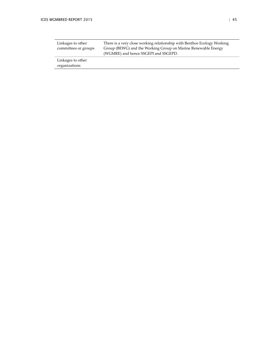| Linkages to other<br>committees or groups | There is a very close working relationship with Benthos Ecology Working<br>Group (BEWG) and the Working Group on Marine Renewable Energy<br>(WGMRE) and hence SSGEPI and SSGEPD. |  |
|-------------------------------------------|----------------------------------------------------------------------------------------------------------------------------------------------------------------------------------|--|
| Linkages to other                         |                                                                                                                                                                                  |  |
| organizations                             |                                                                                                                                                                                  |  |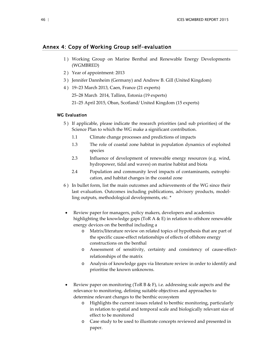## <span id="page-47-0"></span>Annex 4: Copy of Working Group self-evaluation

- 1 ) Working Group on Marine Benthal and Renewable Energy Developments (WGMBRED)
- 2 ) Year of appointment: 2013
- 3 ) Jennifer Dannheim (Germany) and Andrew B. Gill (United Kingdom)
- 4 ) 19–23 March 2013, Caen, France (21 experts)
	- 25–28 March 2014, Tallinn, Estonia (19 experts)
	- 21–25 April 2015, Oban, Scotland/ United Kingdom (15 experts)

#### WG Evaluation

- 5 ) If applicable, please indicate the research priorities (and sub priorities) of the Science Plan to which the WG make a significant contribution.
	- 1.1 Climate change processes and predictions of impacts
	- 1.3 The role of coastal zone habitat in population dynamics of exploited species
	- 2.3 Influence of development of renewable energy resources (e.g. wind, hydropower, tidal and waves) on marine habitat and biota
	- 2.4 Population and community level impacts of contaminants, eutrophication, and habitat changes in the coastal zone
- 6 ) In bullet form, list the main outcomes and achievements of the WG since their last evaluation. Outcomes including publications, advisory products, modelling outputs, methodological developments, etc. \*
- Review paper for managers, policy makers, developers and academics highlighting the knowledge gaps (ToR A  $\&$  E) in relation to offshore renewable energy devices on the benthal including a
	- o Matrix/literature review on related topics of hypothesis that are part of the specific cause-effect relationships of effects of offshore energy constructions on the benthal
	- o Assessment of sensitivity, certainty and consistency of cause-effectrelationships of the matrix
	- o Analysis of knowledge gaps via literature review in order to identify and prioritise the known unknowns.
- Review paper on monitoring (ToR B  $\&$  F), i.e. addressing scale aspects and the relevance to monitoring, defining suitable objectives and approaches to determine relevant changes to the benthic ecosystem
	- o Highlights the current issues related to benthic monitoring, particularly in relation to spatial and temporal scale and biologically relevant size of effect to be monitored
	- o Case study to be used to illustrate concepts reviewed and presented in paper.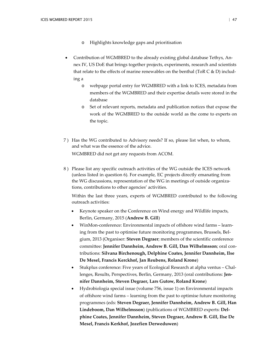- o Highlights knowledge gaps and prioritisation
- Contribution of WGMBRED to the already existing global database Tethys, Annex IV, US DoE that brings together projects, experiments, research and scientists that relate to the effects of marine renewables on the benthal (ToR C & D) including a
	- o webpage portal entry for WGMBRED with a link to ICES, metadata from members of the WGMBRED and their expertise details were stored in the database
	- o Set of relevant reports, metadata and publication notices that expose the work of the WGMBRED to the outside world as the come to experts on the topic.
- 7 ) Has the WG contributed to Advisory needs? If so, please list when, to whom, and what was the essence of the advice. WGMBRED did not get any requests from ACOM.
- 8 ) Please list any specific outreach activities of the WG outside the ICES network (unless listed in question 6). For example, EC projects directly emanating from the WG discussions, representation of the WG in meetings of outside organizations, contributions to other agencies' activities.

Within the last three years, experts of WGMBRED contributed to the following outreach activities:

- Keynote speaker on the Conference on Wind energy and Wildlife impacts, Berlin, Germany, 2015 (**Andrew B. Gill**)
- WinMon-conference: Environmental impacts of offshore wind farms learning from the past to optimise future monitoring programmes, Brussels, Belgium, 2013 (Organiser: **Steven Degraer**; members of the scientific conference committee: **Jennifer Dannheim, Andrew B. Gill, Dan Wilhelmsson**; oral contributions: **Silvana Birchenough, Delphine Coates, Jennifer Dannheim, Ilse De Mesel, Francis Kerckhof, Jan Reubens, Roland Krone**)
- Stukplus conference: Five years of Ecological Research at alpha ventus Challenges, Results, Perspectives, Berlin, Germany, 2013 (oral contributions: **Jennifer Dannheim, Steven Degraer, Lars Gutow, Roland Krone**)
- Hydrobiologia special issue (volume 756, issue 1) on Environmental impacts of offshore wind farms – learning from the past to optimise future monitoring programmes (eds: **Steven Degraer, Jennifer Dannheim, Andrew B. Gill, Han Lindeboom, Dan Wilhelmsson**) (publications of WGMBRED experts: **Delphine Coates, Jennifer Dannheim, Steven Degraer, Andrew B. Gill, Ilse De Mesel, Francis Kerkhof, Jozefien Derweduwen**)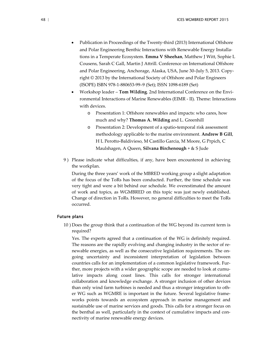- Publication in Proceedings of the Twenty-third (2013) International Offshore and Polar Engineering Benthic Interactions with Renewable Energy Installations in a Temperate Ecosystem. **Emma V Sheehan**, Matthew J Witt, Sophie L Cousens, Sarah C Gall, Martin J Attrill. Conference on International Offshore and Polar Engineering, Anchorage, Alaska, USA, June 30–July 5, 2013. Copyright © 2013 by the International Society of Offshore and Polar Engineers (ISOPE) ISBN 978-1-880653-99–9 (Set); ISSN 1098-6189 (Set)
- Workshop leader **Tom Wilding**. 2nd International Conference on the Environmental Interactions of Marine Renewables (EIMR - II). Theme: Interactions with devices.
	- o Presentation 1: Offshore renewables and impacts: who cares, how much and why? **Thomas A. Wilding** and L. Greenhill
	- o Presentation 2: Development of a spatio-temporal risk assessment methodology applicable to the marine environment. **Andrew B Gill**, H L Perotto-Baldivieso, M Castillo Garcia, M Moore, G Prpich, C Maulshagen, A Queen, **Silvana Birchenough** + & S Jude
- 9 ) Please indicate what difficulties, if any, have been encountered in achieving the workplan.

During the three years' work of the MBRED working group a slight adaptation of the focus of the ToRs has been conducted. Further, the time schedule was very tight and were a bit behind our schedule. We overestimated the amount of work and topics, as WGMBRED on this topic was just newly established. Change of direction in ToRs. However, no general difficulties to meet the ToRs occurred.

#### Future plans

10 ) Does the group think that a continuation of the WG beyond its current term is required?

Yes. The experts agreed that a continuation of the WG is definitely required. The reasons are the rapidly evolving and changing industry in the sector of renewable energies, as well as the consecutive legislation requirements. The ongoing uncertainty and inconsistent interpretation of legislation between countries calls for an implementation of a common legislative framework. Further, more projects with a wider geographic scope are needed to look at cumulative impacts along coast lines. This calls for stronger international collaboration and knowledge exchange. A stronger inclusion of other devices than only wind farm turbines is needed and thus a stronger integration to other WG such as WGMRE is important in the future. Several legislative frameworks points towards an ecosystem approach in marine management and sustainable use of marine services and goods. This calls for a stronger focus on the benthal as well, particularly in the context of cumulative impacts and connectivity of marine renewable energy devices.